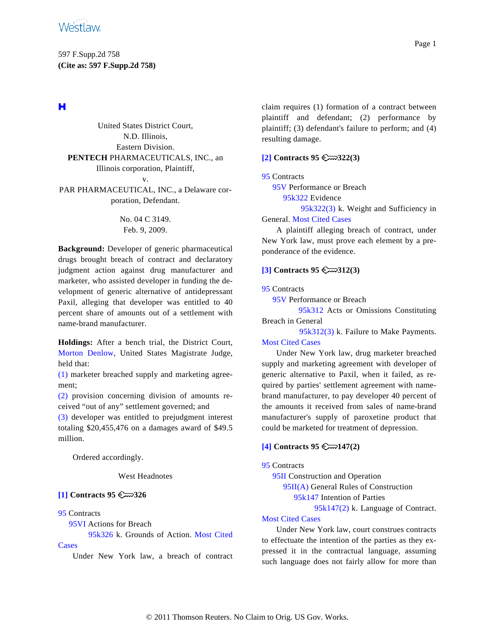597 F.Supp.2d 758 **(Cite as: 597 F.Supp.2d 758)**

# н

<span id="page-0-1"></span>United States District Court, N.D. Illinois, Eastern Division. **PENTECH** PHARMACEUTICALS, INC., an Illinois corporation, Plaintiff, v. PAR PHARMACEUTICAL, INC., a Delaware corporation, Defendant.

> No. 04 C 3149. Feb. 9, 2009.

<span id="page-0-2"></span>**Background:** Developer of generic pharmaceutical drugs brought breach of contract and declaratory judgment action against drug manufacturer and marketer, who assisted developer in funding the development of generic alternative of antidepressant Paxil, alleging that developer was entitled to 40 percent share of amounts out of a settlement with name-brand manufacturer.

**Holdings:** After a bench trial, the District Court, [Morton Denlow](http://www.westlaw.com/Find/Default.wl?rs=dfa1.0&vr=2.0&DB=PROFILER-WLD&DocName=0193637701&FindType=h), United States Magistrate Judge, held that:

[\(1\)](#page-21-0) marketer breached supply and marketing agreement;

[\(2\)](#page-22-0) provision concerning division of amounts received "out of any" settlement governed; and

<span id="page-0-3"></span>[\(3\)](#page-28-0) developer was entitled to prejudgment interest totaling \$20,455,476 on a damages award of \$49.5 million.

Ordered accordingly.

West Headnotes

# <span id="page-0-0"></span>**[\[1\]](#page-21-1) Contracts 95 326**

[95](http://www.westlaw.com/KeyNumber/Default.wl?rs=dfa1.0&vr=2.0&CMD=KEY&DocName=95) Contracts

[95VI](http://www.westlaw.com/KeyNumber/Default.wl?rs=dfa1.0&vr=2.0&CMD=KEY&DocName=95VI) Actions for Breach

95k326 [k. Gro](http://www.westlaw.com/KeyNumber/Default.wl?rs=dfa1.0&vr=2.0&CMD=KEY&DocName=95k326)unds of Action. [Most Cited](http://www.westlaw.com/Digest/Default.wl?rs=dfa1.0&vr=2.0&CMD=MCC&DocName=95k326) **[Cases](http://www.westlaw.com/Digest/Default.wl?rs=dfa1.0&vr=2.0&CMD=MCC&DocName=95k326)** 

Under New York law, a breach of contract

claim requires (1) formation of a contract between plaintiff and defendant; (2) performance by plaintiff; (3) defendant's failure to perform; and (4) resulting damage.

# **[\[2\]](#page-21-1) Contracts 95 322(3)**

[95](http://www.westlaw.com/KeyNumber/Default.wl?rs=dfa1.0&vr=2.0&CMD=KEY&DocName=95) Contracts

[95V](http://www.westlaw.com/KeyNumber/Default.wl?rs=dfa1.0&vr=2.0&CMD=KEY&DocName=95V) Performance or Breach 95k322 [Eviden](http://www.westlaw.com/KeyNumber/Default.wl?rs=dfa1.0&vr=2.0&CMD=KEY&DocName=95k322)ce

[95k322\(3\)](http://www.westlaw.com/KeyNumber/Default.wl?rs=dfa1.0&vr=2.0&CMD=KEY&DocName=95k322%283%29) k. Weight and Sufficiency in General. [Most Cited Cases](http://www.westlaw.com/Digest/Default.wl?rs=dfa1.0&vr=2.0&CMD=MCC&DocName=95k322%283%29)

A plaintiff alleging breach of contract, under New York law, must prove each element by a preponderance of the evidence.

# **[\[3\]](#page-21-0) Contracts 95 312(3)**

[95](http://www.westlaw.com/KeyNumber/Default.wl?rs=dfa1.0&vr=2.0&CMD=KEY&DocName=95) Contracts

[95V](http://www.westlaw.com/KeyNumber/Default.wl?rs=dfa1.0&vr=2.0&CMD=KEY&DocName=95V) Performance or Breach

95k312 [Acts](http://www.westlaw.com/KeyNumber/Default.wl?rs=dfa1.0&vr=2.0&CMD=KEY&DocName=95k312) or Omissions Constituting Breach in General

[95k312\(3\)](http://www.westlaw.com/KeyNumber/Default.wl?rs=dfa1.0&vr=2.0&CMD=KEY&DocName=95k312%283%29) k. Failure to Make Payments. [Most Cited Cases](http://www.westlaw.com/Digest/Default.wl?rs=dfa1.0&vr=2.0&CMD=MCC&DocName=95k312%283%29)

Under New York law, drug marketer breached supply and marketing agreement with developer of generic alternative to Paxil, when it failed, as required by parties' settlement agreement with namebrand manufacturer, to pay developer 40 percent of the amounts it received from sales of name-brand manufacturer's supply of paroxetine product that could be marketed for treatment of depression.

# **[\[4\]](#page-21-2) Contracts 95 147(2)**

[95](http://www.westlaw.com/KeyNumber/Default.wl?rs=dfa1.0&vr=2.0&CMD=KEY&DocName=95) Contracts

[95II](http://www.westlaw.com/KeyNumber/Default.wl?rs=dfa1.0&vr=2.0&CMD=KEY&DocName=95II) Construction and Operation

95II(A) [Gener](http://www.westlaw.com/KeyNumber/Default.wl?rs=dfa1.0&vr=2.0&CMD=KEY&DocName=95II%28A%29)al Rules of Construction

[95k147](http://www.westlaw.com/KeyNumber/Default.wl?rs=dfa1.0&vr=2.0&CMD=KEY&DocName=95k147) Intention of Parties

95k147(2) k[. Language](http://www.westlaw.com/KeyNumber/Default.wl?rs=dfa1.0&vr=2.0&CMD=KEY&DocName=95k147%282%29) of Contract.

# [Most Cited Cases](http://www.westlaw.com/Digest/Default.wl?rs=dfa1.0&vr=2.0&CMD=MCC&DocName=95k147%282%29)

Under New York law, court construes contracts to effectuate the intention of the parties as they expressed it in the contractual language, assuming such language does not fairly allow for more than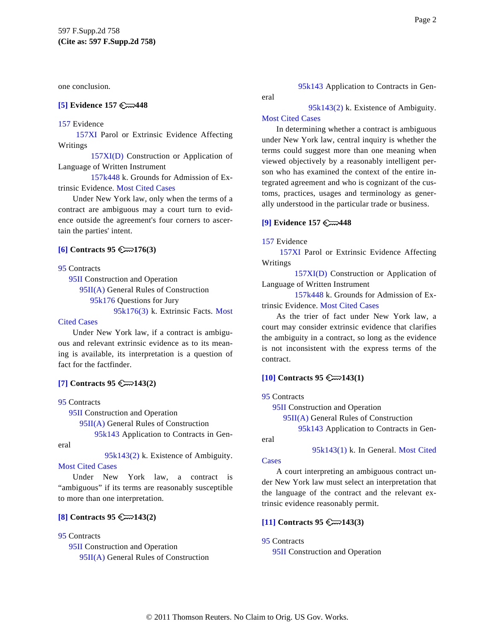one conclusion.

# <span id="page-1-0"></span>**[\[5\]](#page-21-2) Evidence 157 448**

[157](http://www.westlaw.com/KeyNumber/Default.wl?rs=dfa1.0&vr=2.0&CMD=KEY&DocName=157) Evidence

[157XI](http://www.westlaw.com/KeyNumber/Default.wl?rs=dfa1.0&vr=2.0&CMD=KEY&DocName=157XI) Parol or Extrinsic Evidence Affecting Writings

157XI(D) [Const](http://www.westlaw.com/KeyNumber/Default.wl?rs=dfa1.0&vr=2.0&CMD=KEY&DocName=157XI%28D%29)ruction or Application of Language of Written Instrument

[157k448](http://www.westlaw.com/KeyNumber/Default.wl?rs=dfa1.0&vr=2.0&CMD=KEY&DocName=157k448) k. Grounds for Admission of Extrinsic Evidence. [Most Cited Cases](http://www.westlaw.com/Digest/Default.wl?rs=dfa1.0&vr=2.0&CMD=MCC&DocName=157k448)

<span id="page-1-4"></span>Under New York law, only when the terms of a contract are ambiguous may a court turn to evidence outside the agreement's four corners to ascertain the parties' intent.

## <span id="page-1-1"></span>**[\[6\]](#page-21-2) Contracts 95 176(3)**

[95](http://www.westlaw.com/KeyNumber/Default.wl?rs=dfa1.0&vr=2.0&CMD=KEY&DocName=95) Contracts

[95II](http://www.westlaw.com/KeyNumber/Default.wl?rs=dfa1.0&vr=2.0&CMD=KEY&DocName=95II) Construction and Operation 95II(A) [Gener](http://www.westlaw.com/KeyNumber/Default.wl?rs=dfa1.0&vr=2.0&CMD=KEY&DocName=95II%28A%29)al Rules of Construction [95k176](http://www.westlaw.com/KeyNumber/Default.wl?rs=dfa1.0&vr=2.0&CMD=KEY&DocName=95k176) Questions for Jury 95k176(3) k[. Extrinsic](http://www.westlaw.com/KeyNumber/Default.wl?rs=dfa1.0&vr=2.0&CMD=KEY&DocName=95k176%283%29) Facts. [Most](http://www.westlaw.com/Digest/Default.wl?rs=dfa1.0&vr=2.0&CMD=MCC&DocName=95k176%283%29)

#### [Cited Cases](http://www.westlaw.com/Digest/Default.wl?rs=dfa1.0&vr=2.0&CMD=MCC&DocName=95k176%283%29)

Under New York law, if a contract is ambiguous and relevant extrinsic evidence as to its meaning is available, its interpretation is a question of fact for the factfinder.

# <span id="page-1-5"></span><span id="page-1-2"></span>**[\[7\]](#page-21-2) Contracts 95 143(2)**

# [95](http://www.westlaw.com/KeyNumber/Default.wl?rs=dfa1.0&vr=2.0&CMD=KEY&DocName=95) Contracts

[95II](http://www.westlaw.com/KeyNumber/Default.wl?rs=dfa1.0&vr=2.0&CMD=KEY&DocName=95II) Construction and Operation

95II(A) [Gener](http://www.westlaw.com/KeyNumber/Default.wl?rs=dfa1.0&vr=2.0&CMD=KEY&DocName=95II%28A%29)al Rules of Construction

[95k143](http://www.westlaw.com/KeyNumber/Default.wl?rs=dfa1.0&vr=2.0&CMD=KEY&DocName=95k143) Application to Contracts in Gen-

eral

95k143(2) k[. Existence](http://www.westlaw.com/KeyNumber/Default.wl?rs=dfa1.0&vr=2.0&CMD=KEY&DocName=95k143%282%29) of Ambiguity.

# [Most Cited Cases](http://www.westlaw.com/Digest/Default.wl?rs=dfa1.0&vr=2.0&CMD=MCC&DocName=95k143%282%29)

Under New York law, a contract is "ambiguous" if its terms are reasonably susceptible to more than one interpretation.

# <span id="page-1-6"></span><span id="page-1-3"></span>**[\[8\]](#page-21-2) Contracts 95 143(2)**

# [95](http://www.westlaw.com/KeyNumber/Default.wl?rs=dfa1.0&vr=2.0&CMD=KEY&DocName=95) Contracts

[95II](http://www.westlaw.com/KeyNumber/Default.wl?rs=dfa1.0&vr=2.0&CMD=KEY&DocName=95II) Construction and Operation 95II(A) [Gener](http://www.westlaw.com/KeyNumber/Default.wl?rs=dfa1.0&vr=2.0&CMD=KEY&DocName=95II%28A%29)al Rules of Construction [95k143](http://www.westlaw.com/KeyNumber/Default.wl?rs=dfa1.0&vr=2.0&CMD=KEY&DocName=95k143) Application to Contracts in Gen-

95k143(2) k[. Existence](http://www.westlaw.com/KeyNumber/Default.wl?rs=dfa1.0&vr=2.0&CMD=KEY&DocName=95k143%282%29) of Ambiguity.

# [Most Cited Cases](http://www.westlaw.com/Digest/Default.wl?rs=dfa1.0&vr=2.0&CMD=MCC&DocName=95k143%282%29)

eral

In determining whether a contract is ambiguous under New York law, central inquiry is whether the terms could suggest more than one meaning when viewed objectively by a reasonably intelligent person who has examined the context of the entire integrated agreement and who is cognizant of the customs, practices, usages and terminology as generally understood in the particular trade or business.

# **[\[9\]](#page-21-2) Evidence 157**  $\mathbb{C}\rightarrow$  448

## [157](http://www.westlaw.com/KeyNumber/Default.wl?rs=dfa1.0&vr=2.0&CMD=KEY&DocName=157) Evidence

[157XI](http://www.westlaw.com/KeyNumber/Default.wl?rs=dfa1.0&vr=2.0&CMD=KEY&DocName=157XI) Parol or Extrinsic Evidence Affecting Writings

157XI(D) [Const](http://www.westlaw.com/KeyNumber/Default.wl?rs=dfa1.0&vr=2.0&CMD=KEY&DocName=157XI%28D%29)ruction or Application of Language of Written Instrument

[157k448](http://www.westlaw.com/KeyNumber/Default.wl?rs=dfa1.0&vr=2.0&CMD=KEY&DocName=157k448) k. Grounds for Admission of Extrinsic Evidence. [Most Cited Cases](http://www.westlaw.com/Digest/Default.wl?rs=dfa1.0&vr=2.0&CMD=MCC&DocName=157k448)

As the trier of fact under New York law, a court may consider extrinsic evidence that clarifies the ambiguity in a contract, so long as the evidence is not inconsistent with the express terms of the contract.

## **[\[10\]](#page-21-3) Contracts 95 143(1)**

#### [95](http://www.westlaw.com/KeyNumber/Default.wl?rs=dfa1.0&vr=2.0&CMD=KEY&DocName=95) Contracts

[95II](http://www.westlaw.com/KeyNumber/Default.wl?rs=dfa1.0&vr=2.0&CMD=KEY&DocName=95II) Construction and Operation

95II(A) [Gener](http://www.westlaw.com/KeyNumber/Default.wl?rs=dfa1.0&vr=2.0&CMD=KEY&DocName=95II%28A%29)al Rules of Construction

[95k143](http://www.westlaw.com/KeyNumber/Default.wl?rs=dfa1.0&vr=2.0&CMD=KEY&DocName=95k143) Application to Contracts in Gen-

eral

95k143(1) k[. In Genera](http://www.westlaw.com/KeyNumber/Default.wl?rs=dfa1.0&vr=2.0&CMD=KEY&DocName=95k143%281%29)l. [Most Cited](http://www.westlaw.com/Digest/Default.wl?rs=dfa1.0&vr=2.0&CMD=MCC&DocName=95k143%281%29)

#### **[Cases](http://www.westlaw.com/Digest/Default.wl?rs=dfa1.0&vr=2.0&CMD=MCC&DocName=95k143%281%29)**

A court interpreting an ambiguous contract under New York law must select an interpretation that the language of the contract and the relevant extrinsic evidence reasonably permit.

## **[\[11\]](#page-22-1) Contracts 95 143(3)**

## [95](http://www.westlaw.com/KeyNumber/Default.wl?rs=dfa1.0&vr=2.0&CMD=KEY&DocName=95) Contracts

[95II](http://www.westlaw.com/KeyNumber/Default.wl?rs=dfa1.0&vr=2.0&CMD=KEY&DocName=95II) Construction and Operation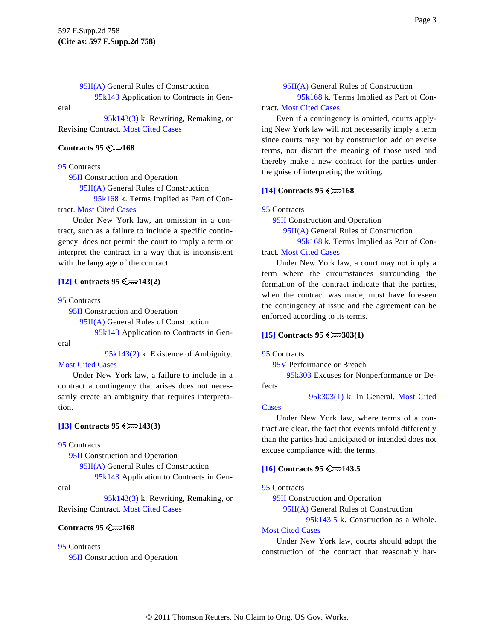95II(A) [Gener](http://www.westlaw.com/KeyNumber/Default.wl?rs=dfa1.0&vr=2.0&CMD=KEY&DocName=95II%28A%29)al Rules of Construction [95k143](http://www.westlaw.com/KeyNumber/Default.wl?rs=dfa1.0&vr=2.0&CMD=KEY&DocName=95k143) Application to Contracts in Gen-

eral

95k143(3) k[. Rewriting](http://www.westlaw.com/KeyNumber/Default.wl?rs=dfa1.0&vr=2.0&CMD=KEY&DocName=95k143%283%29), Remaking, or Revising Contract. [Most Cited Cases](http://www.westlaw.com/Digest/Default.wl?rs=dfa1.0&vr=2.0&CMD=MCC&DocName=95k143%283%29)

# **Contracts 95 168**

# [95](http://www.westlaw.com/KeyNumber/Default.wl?rs=dfa1.0&vr=2.0&CMD=KEY&DocName=95) Contracts

<span id="page-2-2"></span>[95II](http://www.westlaw.com/KeyNumber/Default.wl?rs=dfa1.0&vr=2.0&CMD=KEY&DocName=95II) Construction and Operation

95II(A) [Gener](http://www.westlaw.com/KeyNumber/Default.wl?rs=dfa1.0&vr=2.0&CMD=KEY&DocName=95II%28A%29)al Rules of Construction

[95k168](http://www.westlaw.com/KeyNumber/Default.wl?rs=dfa1.0&vr=2.0&CMD=KEY&DocName=95k168) k. Terms Implied as Part of Con-

tract. [Most Cited Cases](http://www.westlaw.com/Digest/Default.wl?rs=dfa1.0&vr=2.0&CMD=MCC&DocName=95k168)

Under New York law, an omission in a contract, such as a failure to include a specific contingency, does not permit the court to imply a term or interpret the contract in a way that is inconsistent with the language of the contract.

# <span id="page-2-0"></span>**[\[12\]](#page-22-1) Contracts 95 143(2)**

[95](http://www.westlaw.com/KeyNumber/Default.wl?rs=dfa1.0&vr=2.0&CMD=KEY&DocName=95) Contracts

[95II](http://www.westlaw.com/KeyNumber/Default.wl?rs=dfa1.0&vr=2.0&CMD=KEY&DocName=95II) Construction and Operation

95II(A) [Gener](http://www.westlaw.com/KeyNumber/Default.wl?rs=dfa1.0&vr=2.0&CMD=KEY&DocName=95II%28A%29)al Rules of Construction

[95k143](http://www.westlaw.com/KeyNumber/Default.wl?rs=dfa1.0&vr=2.0&CMD=KEY&DocName=95k143) Application to Contracts in Gen-

<span id="page-2-3"></span>eral

95k143(2) k[. Existence](http://www.westlaw.com/KeyNumber/Default.wl?rs=dfa1.0&vr=2.0&CMD=KEY&DocName=95k143%282%29) of Ambiguity.

# [Most Cited Cases](http://www.westlaw.com/Digest/Default.wl?rs=dfa1.0&vr=2.0&CMD=MCC&DocName=95k143%282%29)

Under New York law, a failure to include in a contract a contingency that arises does not necessarily create an ambiguity that requires interpretation.

# <span id="page-2-1"></span>**[\[13\]](#page-22-1) Contracts 95 143(3)**

[95](http://www.westlaw.com/KeyNumber/Default.wl?rs=dfa1.0&vr=2.0&CMD=KEY&DocName=95) Contracts

<span id="page-2-4"></span>[95II](http://www.westlaw.com/KeyNumber/Default.wl?rs=dfa1.0&vr=2.0&CMD=KEY&DocName=95II) Construction and Operation

95II(A) [Gener](http://www.westlaw.com/KeyNumber/Default.wl?rs=dfa1.0&vr=2.0&CMD=KEY&DocName=95II%28A%29)al Rules of Construction [95k143](http://www.westlaw.com/KeyNumber/Default.wl?rs=dfa1.0&vr=2.0&CMD=KEY&DocName=95k143) Application to Contracts in Gen-

#### eral

95k143(3) k[. Rewriting](http://www.westlaw.com/KeyNumber/Default.wl?rs=dfa1.0&vr=2.0&CMD=KEY&DocName=95k143%283%29), Remaking, or Revising Contract. [Most Cited Cases](http://www.westlaw.com/Digest/Default.wl?rs=dfa1.0&vr=2.0&CMD=MCC&DocName=95k143%283%29)

# **Contracts 95 168**

# [95](http://www.westlaw.com/KeyNumber/Default.wl?rs=dfa1.0&vr=2.0&CMD=KEY&DocName=95) Contracts

[95II](http://www.westlaw.com/KeyNumber/Default.wl?rs=dfa1.0&vr=2.0&CMD=KEY&DocName=95II) Construction and Operation

95II(A) [Gener](http://www.westlaw.com/KeyNumber/Default.wl?rs=dfa1.0&vr=2.0&CMD=KEY&DocName=95II%28A%29)al Rules of Construction

[95k168](http://www.westlaw.com/KeyNumber/Default.wl?rs=dfa1.0&vr=2.0&CMD=KEY&DocName=95k168) k. Terms Implied as Part of Contract. [Most Cited Cases](http://www.westlaw.com/Digest/Default.wl?rs=dfa1.0&vr=2.0&CMD=MCC&DocName=95k168)

Even if a contingency is omitted, courts applying New York law will not necessarily imply a term since courts may not by construction add or excise terms, nor distort the meaning of those used and thereby make a new contract for the parties under the guise of interpreting the writing.

# **[\[14\]](#page-22-1) Contracts 95 168**

[95](http://www.westlaw.com/KeyNumber/Default.wl?rs=dfa1.0&vr=2.0&CMD=KEY&DocName=95) Contracts

[95II](http://www.westlaw.com/KeyNumber/Default.wl?rs=dfa1.0&vr=2.0&CMD=KEY&DocName=95II) Construction and Operation

95II(A) [Gener](http://www.westlaw.com/KeyNumber/Default.wl?rs=dfa1.0&vr=2.0&CMD=KEY&DocName=95II%28A%29)al Rules of Construction

[95k168](http://www.westlaw.com/KeyNumber/Default.wl?rs=dfa1.0&vr=2.0&CMD=KEY&DocName=95k168) k. Terms Implied as Part of Contract. [Most Cited Cases](http://www.westlaw.com/Digest/Default.wl?rs=dfa1.0&vr=2.0&CMD=MCC&DocName=95k168)

Under New York law, a court may not imply a term where the circumstances surrounding the formation of the contract indicate that the parties, when the contract was made, must have foreseen the contingency at issue and the agreement can be enforced according to its terms.

# **[\[15\]](#page-22-1) Contracts 95 303(1)**

## [95](http://www.westlaw.com/KeyNumber/Default.wl?rs=dfa1.0&vr=2.0&CMD=KEY&DocName=95) Contracts

[95V](http://www.westlaw.com/KeyNumber/Default.wl?rs=dfa1.0&vr=2.0&CMD=KEY&DocName=95V) Performance or Breach

95k303 [Excus](http://www.westlaw.com/KeyNumber/Default.wl?rs=dfa1.0&vr=2.0&CMD=KEY&DocName=95k303)es for Nonperformance or Defects

[95k303\(1\)](http://www.westlaw.com/KeyNumber/Default.wl?rs=dfa1.0&vr=2.0&CMD=KEY&DocName=95k303%281%29) k. In General. [Most Cited](http://www.westlaw.com/Digest/Default.wl?rs=dfa1.0&vr=2.0&CMD=MCC&DocName=95k303%281%29)

#### **[Cases](http://www.westlaw.com/Digest/Default.wl?rs=dfa1.0&vr=2.0&CMD=MCC&DocName=95k303%281%29)**

Under New York law, where terms of a contract are clear, the fact that events unfold differently than the parties had anticipated or intended does not excuse compliance with the terms.

# **[\[16\]](#page-22-2) Contracts 95 143.5**

#### [95](http://www.westlaw.com/KeyNumber/Default.wl?rs=dfa1.0&vr=2.0&CMD=KEY&DocName=95) Contracts

[95II](http://www.westlaw.com/KeyNumber/Default.wl?rs=dfa1.0&vr=2.0&CMD=KEY&DocName=95II) Construction and Operation

95II(A) [Gener](http://www.westlaw.com/KeyNumber/Default.wl?rs=dfa1.0&vr=2.0&CMD=KEY&DocName=95II%28A%29)al Rules of Construction

[95k143.5](http://www.westlaw.com/KeyNumber/Default.wl?rs=dfa1.0&vr=2.0&CMD=KEY&DocName=95k143.5) k. Construction as a Whole. [Most Cited Cases](http://www.westlaw.com/Digest/Default.wl?rs=dfa1.0&vr=2.0&CMD=MCC&DocName=95k143.5)

Under New York law, courts should adopt the construction of the contract that reasonably har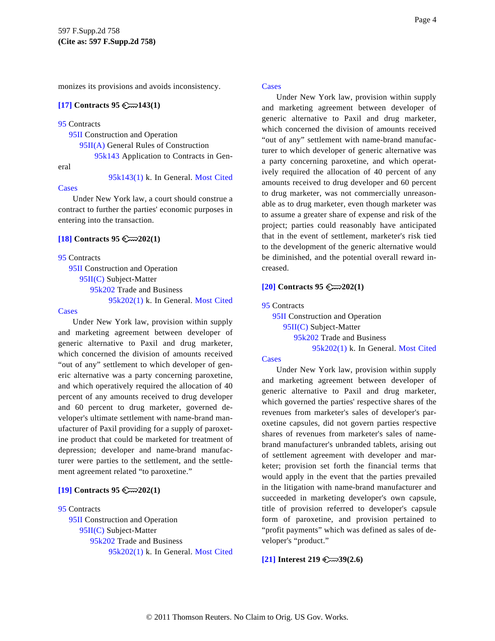monizes its provisions and avoids inconsistency.

# <span id="page-3-0"></span>**[\[17\]](#page-22-3) Contracts 95 143(1)**

[95](http://www.westlaw.com/KeyNumber/Default.wl?rs=dfa1.0&vr=2.0&CMD=KEY&DocName=95) Contracts

[95II](http://www.westlaw.com/KeyNumber/Default.wl?rs=dfa1.0&vr=2.0&CMD=KEY&DocName=95II) Construction and Operation

95II(A) [Gener](http://www.westlaw.com/KeyNumber/Default.wl?rs=dfa1.0&vr=2.0&CMD=KEY&DocName=95II%28A%29)al Rules of Construction

[95k143](http://www.westlaw.com/KeyNumber/Default.wl?rs=dfa1.0&vr=2.0&CMD=KEY&DocName=95k143) Application to Contracts in Gen-

eral

95k143(1) k[. In Genera](http://www.westlaw.com/KeyNumber/Default.wl?rs=dfa1.0&vr=2.0&CMD=KEY&DocName=95k143%281%29)l. [Most Cited](http://www.westlaw.com/Digest/Default.wl?rs=dfa1.0&vr=2.0&CMD=MCC&DocName=95k143%281%29)

## **[Cases](http://www.westlaw.com/Digest/Default.wl?rs=dfa1.0&vr=2.0&CMD=MCC&DocName=95k143%281%29)**

Under New York law, a court should construe a contract to further the parties' economic purposes in entering into the transaction.

# <span id="page-3-1"></span>**[\[18\]](#page-22-0) Contracts 95 202(1)**

[95](http://www.westlaw.com/KeyNumber/Default.wl?rs=dfa1.0&vr=2.0&CMD=KEY&DocName=95) Contracts

<span id="page-3-3"></span>[95II](http://www.westlaw.com/KeyNumber/Default.wl?rs=dfa1.0&vr=2.0&CMD=KEY&DocName=95II) Construction and Operation 95II(C) [Subjec](http://www.westlaw.com/KeyNumber/Default.wl?rs=dfa1.0&vr=2.0&CMD=KEY&DocName=95II%28C%29)t-Matter [95k202](http://www.westlaw.com/KeyNumber/Default.wl?rs=dfa1.0&vr=2.0&CMD=KEY&DocName=95k202) Trade and Business 95k202(1) k[. In Genera](http://www.westlaw.com/KeyNumber/Default.wl?rs=dfa1.0&vr=2.0&CMD=KEY&DocName=95k202%281%29)l. [Most Cited](http://www.westlaw.com/Digest/Default.wl?rs=dfa1.0&vr=2.0&CMD=MCC&DocName=95k202%281%29)

## [Cases](http://www.westlaw.com/Digest/Default.wl?rs=dfa1.0&vr=2.0&CMD=MCC&DocName=95k202%281%29)

Under New York law, provision within supply and marketing agreement between developer of generic alternative to Paxil and drug marketer, which concerned the division of amounts received "out of any" settlement to which developer of generic alternative was a party concerning paroxetine, and which operatively required the allocation of 40 percent of any amounts received to drug developer and 60 percent to drug marketer, governed developer's ultimate settlement with name-brand manufacturer of Paxil providing for a supply of paroxetine product that could be marketed for treatment of depression; developer and name-brand manufacturer were parties to the settlement, and the settlement agreement related "to paroxetine."

# <span id="page-3-2"></span>**[\[19\]](#page-24-0) Contracts 95 202(1)**

# [95](http://www.westlaw.com/KeyNumber/Default.wl?rs=dfa1.0&vr=2.0&CMD=KEY&DocName=95) Contracts

<span id="page-3-4"></span>[95II](http://www.westlaw.com/KeyNumber/Default.wl?rs=dfa1.0&vr=2.0&CMD=KEY&DocName=95II) Construction and Operation 95II(C) [Subjec](http://www.westlaw.com/KeyNumber/Default.wl?rs=dfa1.0&vr=2.0&CMD=KEY&DocName=95II%28C%29)t-Matter [95k202](http://www.westlaw.com/KeyNumber/Default.wl?rs=dfa1.0&vr=2.0&CMD=KEY&DocName=95k202) Trade and Business 95k202(1) k[. In Genera](http://www.westlaw.com/KeyNumber/Default.wl?rs=dfa1.0&vr=2.0&CMD=KEY&DocName=95k202%281%29)l. Most Cited

#### [Cases](http://www.westlaw.com/Digest/Default.wl?rs=dfa1.0&vr=2.0&CMD=MCC&DocName=95k202%281%29)

Under New York law, provision within supply and marketing agreement between developer of generic alternative to Paxil and drug marketer, which concerned the division of amounts received "out of any" settlement with name-brand manufacturer to which developer of generic alternative was a party concerning paroxetine, and which operatively required the allocation of 40 percent of any amounts received to drug developer and 60 percent to drug marketer, was not commercially unreasonable as to drug marketer, even though marketer was to assume a greater share of expense and risk of the project; parties could reasonably have anticipated that in the event of settlement, marketer's risk tied to the development of the generic alternative would be diminished, and the potential overall reward increased.

## **[\[20\]](#page-24-1) Contracts 95 202(1)**

[95](http://www.westlaw.com/KeyNumber/Default.wl?rs=dfa1.0&vr=2.0&CMD=KEY&DocName=95) Contracts

[95II](http://www.westlaw.com/KeyNumber/Default.wl?rs=dfa1.0&vr=2.0&CMD=KEY&DocName=95II) Construction and Operation 95II(C) [Subjec](http://www.westlaw.com/KeyNumber/Default.wl?rs=dfa1.0&vr=2.0&CMD=KEY&DocName=95II%28C%29)t-Matter [95k202](http://www.westlaw.com/KeyNumber/Default.wl?rs=dfa1.0&vr=2.0&CMD=KEY&DocName=95k202) Trade and Business 95k202(1) k[. In Genera](http://www.westlaw.com/KeyNumber/Default.wl?rs=dfa1.0&vr=2.0&CMD=KEY&DocName=95k202%281%29)l. [Most Cited](http://www.westlaw.com/Digest/Default.wl?rs=dfa1.0&vr=2.0&CMD=MCC&DocName=95k202%281%29)

#### **[Cases](http://www.westlaw.com/Digest/Default.wl?rs=dfa1.0&vr=2.0&CMD=MCC&DocName=95k202%281%29)**

Under New York law, provision within supply and marketing agreement between developer of generic alternative to Paxil and drug marketer, which governed the parties' respective shares of the revenues from marketer's sales of developer's paroxetine capsules, did not govern parties respective shares of revenues from marketer's sales of namebrand manufacturer's unbranded tablets, arising out of settlement agreement with developer and marketer; provision set forth the financial terms that would apply in the event that the parties prevailed in the litigation with name-brand manufacturer and succeeded in marketing developer's own capsule, title of provision referred to developer's capsule form of paroxetine, and provision pertained to "profit payments" which was defined as sales of developer's "product."

**[\[21\]](#page-27-0) Interest 219 39(2.6)**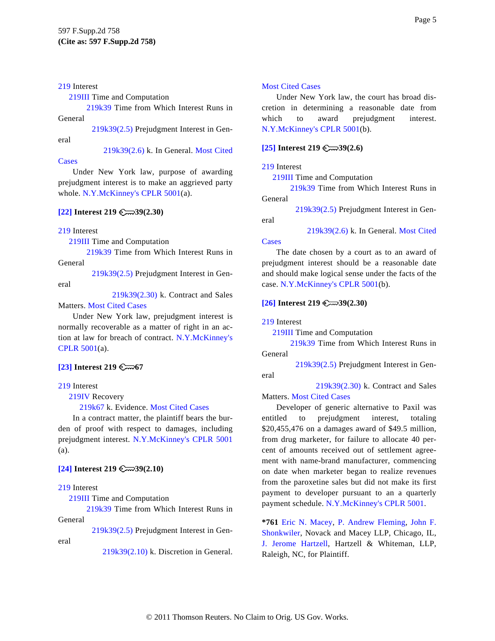## [219](http://www.westlaw.com/KeyNumber/Default.wl?rs=dfa1.0&vr=2.0&CMD=KEY&DocName=219) Interest

[219III](http://www.westlaw.com/KeyNumber/Default.wl?rs=dfa1.0&vr=2.0&CMD=KEY&DocName=219III) Time and Computation

219k39 [Time](http://www.westlaw.com/KeyNumber/Default.wl?rs=dfa1.0&vr=2.0&CMD=KEY&DocName=219k39) from Which Interest Runs in General

[219k39\(2.5\)](http://www.westlaw.com/KeyNumber/Default.wl?rs=dfa1.0&vr=2.0&CMD=KEY&DocName=219k39%282.5%29) Prejudgment Interest in General

<span id="page-4-3"></span>219k39(2.6) [k. In Genera](http://www.westlaw.com/KeyNumber/Default.wl?rs=dfa1.0&vr=2.0&CMD=KEY&DocName=219k39%282.6%29)l. [Most Cited](http://www.westlaw.com/Digest/Default.wl?rs=dfa1.0&vr=2.0&CMD=MCC&DocName=219k39%282.6%29) **[Cases](http://www.westlaw.com/Digest/Default.wl?rs=dfa1.0&vr=2.0&CMD=MCC&DocName=219k39%282.6%29)** 

Under New York law, purpose of awarding prejudgment interest is to make an aggrieved party whole. [N.Y.McKinney's CPLR 5001](http://www.westlaw.com/Find/Default.wl?rs=dfa1.0&vr=2.0&DB=1000059&DocName=NYCPS5001&FindType=L)(a).

# <span id="page-4-0"></span>**[\[22\]](#page-27-1) Interest 219 39(2.30)**

[219](http://www.westlaw.com/KeyNumber/Default.wl?rs=dfa1.0&vr=2.0&CMD=KEY&DocName=219) Interest

[219III](http://www.westlaw.com/KeyNumber/Default.wl?rs=dfa1.0&vr=2.0&CMD=KEY&DocName=219III) Time and Computation

219k39 [Time](http://www.westlaw.com/KeyNumber/Default.wl?rs=dfa1.0&vr=2.0&CMD=KEY&DocName=219k39) from Which Interest Runs in General

[219k39\(2.5\)](http://www.westlaw.com/KeyNumber/Default.wl?rs=dfa1.0&vr=2.0&CMD=KEY&DocName=219k39%282.5%29) Prejudgment Interest in General

<span id="page-4-4"></span>219k39(2.30) [k. Contract](http://www.westlaw.com/KeyNumber/Default.wl?rs=dfa1.0&vr=2.0&CMD=KEY&DocName=219k39%282.30%29) and Sales Matters. [Most Cited Cases](http://www.westlaw.com/Digest/Default.wl?rs=dfa1.0&vr=2.0&CMD=MCC&DocName=219k39%282.30%29)

Under New York law, prejudgment interest is normally recoverable as a matter of right in an action at law for breach of contract. [N.Y.McKinney's](http://www.westlaw.com/Find/Default.wl?rs=dfa1.0&vr=2.0&DB=1000059&DocName=NYCPS5001&FindType=L) [CPLR 5001](http://www.westlaw.com/Find/Default.wl?rs=dfa1.0&vr=2.0&DB=1000059&DocName=NYCPS5001&FindType=L)(a).

# <span id="page-4-1"></span>**[\[23\]](#page-27-1) Interest 219 67**

#### [219](http://www.westlaw.com/KeyNumber/Default.wl?rs=dfa1.0&vr=2.0&CMD=KEY&DocName=219) Interest

[219IV](http://www.westlaw.com/KeyNumber/Default.wl?rs=dfa1.0&vr=2.0&CMD=KEY&DocName=219IV) Recovery

219k67 [k. Evi](http://www.westlaw.com/KeyNumber/Default.wl?rs=dfa1.0&vr=2.0&CMD=KEY&DocName=219k67)dence. [Most Cited Cases](http://www.westlaw.com/Digest/Default.wl?rs=dfa1.0&vr=2.0&CMD=MCC&DocName=219k67)

In a contract matter, the plaintiff bears the burden of proof with respect to damages, including prejudgment interest. [N.Y.McKinney's CPLR 5001](http://www.westlaw.com/Find/Default.wl?rs=dfa1.0&vr=2.0&DB=1000059&DocName=NYCPS5001&FindType=L) (a).

# <span id="page-4-2"></span>**[\[24\]](#page-28-1) Interest 219 39(2.10)**

## [219](http://www.westlaw.com/KeyNumber/Default.wl?rs=dfa1.0&vr=2.0&CMD=KEY&DocName=219) Interest

[219III](http://www.westlaw.com/KeyNumber/Default.wl?rs=dfa1.0&vr=2.0&CMD=KEY&DocName=219III) Time and Computation

219k39 [Time](http://www.westlaw.com/KeyNumber/Default.wl?rs=dfa1.0&vr=2.0&CMD=KEY&DocName=219k39) from Which Interest Runs in General

[219k39\(2.5\)](http://www.westlaw.com/KeyNumber/Default.wl?rs=dfa1.0&vr=2.0&CMD=KEY&DocName=219k39%282.5%29) Prejudgment Interest in Gen-

eral

219k39(2.10) [k. Discretion](http://www.westlaw.com/KeyNumber/Default.wl?rs=dfa1.0&vr=2.0&CMD=KEY&DocName=219k39%282.10%29) in General.

## [Most Cited Cases](http://www.westlaw.com/Digest/Default.wl?rs=dfa1.0&vr=2.0&CMD=MCC&DocName=219k39%282.10%29)

Under New York law, the court has broad discretion in determining a reasonable date from which to award prejudgment interest. [N.Y.McKinney's CPLR 5001](http://www.westlaw.com/Find/Default.wl?rs=dfa1.0&vr=2.0&DB=1000059&DocName=NYCPS5001&FindType=L)(b).

# **[\[25\]](#page-28-1) Interest 219 39(2.6)**

## [219](http://www.westlaw.com/KeyNumber/Default.wl?rs=dfa1.0&vr=2.0&CMD=KEY&DocName=219) Interest

[219III](http://www.westlaw.com/KeyNumber/Default.wl?rs=dfa1.0&vr=2.0&CMD=KEY&DocName=219III) Time and Computation

219k39 [Time](http://www.westlaw.com/KeyNumber/Default.wl?rs=dfa1.0&vr=2.0&CMD=KEY&DocName=219k39) from Which Interest Runs in General

[219k39\(2.5\)](http://www.westlaw.com/KeyNumber/Default.wl?rs=dfa1.0&vr=2.0&CMD=KEY&DocName=219k39%282.5%29) Prejudgment Interest in General

219k39(2.6) [k. In Genera](http://www.westlaw.com/KeyNumber/Default.wl?rs=dfa1.0&vr=2.0&CMD=KEY&DocName=219k39%282.6%29)l. [Most Cited](http://www.westlaw.com/Digest/Default.wl?rs=dfa1.0&vr=2.0&CMD=MCC&DocName=219k39%282.6%29)

#### **[Cases](http://www.westlaw.com/Digest/Default.wl?rs=dfa1.0&vr=2.0&CMD=MCC&DocName=219k39%282.6%29)**

The date chosen by a court as to an award of prejudgment interest should be a reasonable date and should make logical sense under the facts of the case. [N.Y.McKinney's CPLR 5001](http://www.westlaw.com/Find/Default.wl?rs=dfa1.0&vr=2.0&DB=1000059&DocName=NYCPS5001&FindType=L)(b).

## **[\[26\]](#page-28-0) Interest 219 39(2.30)**

[219](http://www.westlaw.com/KeyNumber/Default.wl?rs=dfa1.0&vr=2.0&CMD=KEY&DocName=219) Interest

[219III](http://www.westlaw.com/KeyNumber/Default.wl?rs=dfa1.0&vr=2.0&CMD=KEY&DocName=219III) Time and Computation

219k39 [Time](http://www.westlaw.com/KeyNumber/Default.wl?rs=dfa1.0&vr=2.0&CMD=KEY&DocName=219k39) from Which Interest Runs in General

[219k39\(2.5\)](http://www.westlaw.com/KeyNumber/Default.wl?rs=dfa1.0&vr=2.0&CMD=KEY&DocName=219k39%282.5%29) Prejudgment Interest in General

219k39(2.30) [k. Contract](http://www.westlaw.com/KeyNumber/Default.wl?rs=dfa1.0&vr=2.0&CMD=KEY&DocName=219k39%282.30%29) and Sales Matters. [Most Cited Cases](http://www.westlaw.com/Digest/Default.wl?rs=dfa1.0&vr=2.0&CMD=MCC&DocName=219k39%282.30%29)

Developer of generic alternative to Paxil was entitled to prejudgment interest, totaling \$20,455,476 on a damages award of \$49.5 million, from drug marketer, for failure to allocate 40 percent of amounts received out of settlement agreement with name-brand manufacturer, commencing on date when marketer began to realize revenues from the paroxetine sales but did not make its first payment to developer pursuant to an a quarterly payment schedule. [N.Y.McKinney's CPLR 5001](http://www.westlaw.com/Find/Default.wl?rs=dfa1.0&vr=2.0&DB=1000059&DocName=NYCPS5001&FindType=L).

**\*761** [Eric N. Mace](http://www.westlaw.com/Find/Default.wl?rs=dfa1.0&vr=2.0&DB=PROFILER-WLD&DocName=0113009001&FindType=h)y, [P. Andrew Flemin](http://www.westlaw.com/Find/Default.wl?rs=dfa1.0&vr=2.0&DB=PROFILER-WLD&DocName=0139507901&FindType=h)g, [John F.](http://www.westlaw.com/Find/Default.wl?rs=dfa1.0&vr=2.0&DB=PROFILER-WLD&DocName=0317835301&FindType=h) [Shonkwiler,](http://www.westlaw.com/Find/Default.wl?rs=dfa1.0&vr=2.0&DB=PROFILER-WLD&DocName=0317835301&FindType=h) Novack and Macey LLP, Chicago, IL, [J. Jerome Hartze](http://www.westlaw.com/Find/Default.wl?rs=dfa1.0&vr=2.0&DB=PROFILER-WLD&DocName=0180149601&FindType=h)ll, Hartzell & Whiteman, LLP, Raleigh, NC, for Plaintiff.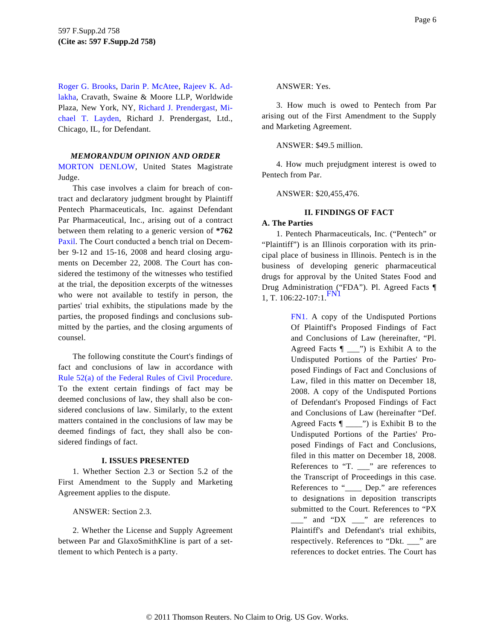[Roger G. Brooks](http://www.westlaw.com/Find/Default.wl?rs=dfa1.0&vr=2.0&DB=PROFILER-WLD&DocName=0329258301&FindType=h), [Darin P. McAtee](http://www.westlaw.com/Find/Default.wl?rs=dfa1.0&vr=2.0&DB=PROFILER-WLD&DocName=0329559101&FindType=h), [Rajeev K. Ad](http://www.westlaw.com/Find/Default.wl?rs=dfa1.0&vr=2.0&DB=PROFILER-WLD&DocName=0358521301&FindType=h)[lakha](http://www.westlaw.com/Find/Default.wl?rs=dfa1.0&vr=2.0&DB=PROFILER-WLD&DocName=0358521301&FindType=h), Cravath, Swaine & Moore LLP, Worldwide Plaza, New York, NY, [Richard J. Prendergas](http://www.westlaw.com/Find/Default.wl?rs=dfa1.0&vr=2.0&DB=PROFILER-WLD&DocName=0304292301&FindType=h)t, [Mi](http://www.westlaw.com/Find/Default.wl?rs=dfa1.0&vr=2.0&DB=PROFILER-WLD&DocName=0141344001&FindType=h)[chael T. Layd](http://www.westlaw.com/Find/Default.wl?rs=dfa1.0&vr=2.0&DB=PROFILER-WLD&DocName=0141344001&FindType=h)en, Richard J. Prendergast, Ltd., Chicago, IL, for Defendant.

## *MEMORANDUM OPINION AND ORDER*

[MORTON DENLOW](http://www.westlaw.com/Find/Default.wl?rs=dfa1.0&vr=2.0&DB=PROFILER-WLD&DocName=0193637701&FindType=h), United States Magistrate Judge.

This case involves a claim for breach of contract and declaratory judgment brought by Plaintiff Pentech Pharmaceuticals, Inc. against Defendant Par Pharmaceutical, Inc., arising out of a contract between them relating to a generic version of **\*762** [Paxil](http://www.westlaw.com/Find/Default.wl?rs=dfa1.0&vr=2.0&CMD=ML&DocName=I37eacf5d475111db9765f9243f53508a&FindType=BD). The Court conducted a bench trial on December 9-12 and 15-16, 2008 and heard closing arguments on December 22, 2008. The Court has considered the testimony of the witnesses who testified at the trial, the deposition excerpts of the witnesses who were not available to testify in person, the parties' trial exhibits, the stipulations made by the parties, the proposed findings and conclusions submitted by the parties, and the closing arguments of counsel.

<span id="page-5-1"></span><span id="page-5-0"></span>The following constitute the Court's findings of fact and conclusions of law in accordance with [Rule 52\(a\) of the Federal Rules of Civil Procedur](http://www.westlaw.com/Find/Default.wl?rs=dfa1.0&vr=2.0&DB=1004365&DocName=USFRCPR52&FindType=L)e. To the extent certain findings of fact may be deemed conclusions of law, they shall also be considered conclusions of law. Similarly, to the extent matters contained in the conclusions of law may be deemed findings of fact, they shall also be considered findings of fact.

## **I. ISSUES PRESENTED**

1. Whether Section 2.3 or Section 5.2 of the First Amendment to the Supply and Marketing Agreement applies to the dispute.

ANSWER: Section 2.3.

2. Whether the License and Supply Agreement between Par and GlaxoSmithKline is part of a settlement to which Pentech is a party.

ANSWER: Yes.

3. How much is owed to Pentech from Par arising out of the First Amendment to the Supply and Marketing Agreement.

#### ANSWER: \$49.5 million.

4. How much prejudgment interest is owed to Pentech from Par.

ANSWER: \$20,455,476.

# **II. FINDINGS OF FACT**

# **A. The Parties**

1. Pentech Pharmaceuticals, Inc. ("Pentech" or "Plaintiff") is an Illinois corporation with its principal place of business in Illinois. Pentech is in the business of developing generic pharmaceutical drugs for approval by the United States Food and Drug Administration ("FDA"). Pl. Agreed Facts ¶ 1, T[. 106:22-107:1.](#page-5-0) $^{FN}$ 

> [FN1.](#page-5-1) A copy of the Undisputed Portions Of Plaintiff's Proposed Findings of Fact and Conclusions of Law (hereinafter, "Pl. Agreed Facts  $\llbracket$  \_\_\_") is Exhibit A to the Undisputed Portions of the Parties' Proposed Findings of Fact and Conclusions of Law, filed in this matter on December 18, 2008. A copy of the Undisputed Portions of Defendant's Proposed Findings of Fact and Conclusions of Law (hereinafter "Def. Agreed Facts  $\llbracket$  \_\_\_\_") is Exhibit B to the Undisputed Portions of the Parties' Proposed Findings of Fact and Conclusions, filed in this matter on December 18, 2008. References to "T. \_\_\_" are references to the Transcript of Proceedings in this case. References to "\_\_\_\_ Dep." are references to designations in deposition transcripts submitted to the Court. References to "PX  $\Box$ " and "DX  $\Box$ " are references to Plaintiff's and Defendant's trial exhibits, respectively. References to "Dkt. \_\_\_" are references to docket entries. The Court has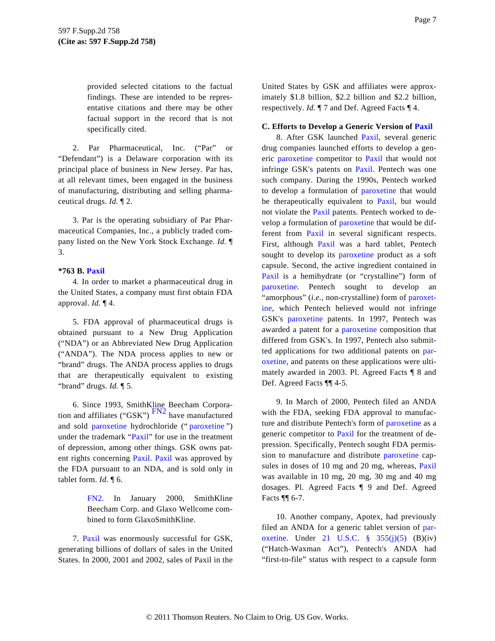provided selected citations to the factual findings. These are intended to be representative citations and there may be other factual support in the record that is not specifically cited.

2. Par Pharmaceutical, Inc. ("Par" or "Defendant") is a Delaware corporation with its principal place of business in New Jersey. Par has, at all relevant times, been engaged in the business of manufacturing, distributing and selling pharmaceutical drugs. *Id.* ¶ 2.

3. Par is the operating subsidiary of Par Pharmaceutical Companies, Inc., a publicly traded company listed on the New York Stock Exchange. *Id.* ¶ 3.

## **\*763 B. [Paxil](http://www.westlaw.com/Find/Default.wl?rs=dfa1.0&vr=2.0&CMD=ML&DocName=I37eacf5d475111db9765f9243f53508a&FindType=BD)**

4. In order to market a pharmaceutical drug in the United States, a company must first obtain FDA approval. *Id.* ¶ 4.

5. FDA approval of pharmaceutical drugs is obtained pursuant to a New Drug Application ("NDA") or an Abbreviated New Drug Application ("ANDA"). The NDA process applies to new or "brand" drugs. The ANDA process applies to drugs that are therapeutically equivalent to existing "brand" drugs. *Id.* ¶ 5.

<span id="page-6-1"></span>6. Since 1993, SmithKline Beecham Corporation and affiliates ("GSK")  $\frac{FN2}{FN2}$  $\frac{FN2}{FN2}$  $\frac{FN2}{FN2}$  have manufactured and sold [paroxetine](http://www.westlaw.com/Find/Default.wl?rs=dfa1.0&vr=2.0&CMD=ML&DocName=I3c1f514e475111db9765f9243f53508a&FindType=GD) hydrochloride (" [paroxetine](http://www.westlaw.com/Find/Default.wl?rs=dfa1.0&vr=2.0&CMD=ML&DocName=I3c1f514e475111db9765f9243f53508a&FindType=GD) ") under the trademar[k "Paxil"](http://www.westlaw.com/Find/Default.wl?rs=dfa1.0&vr=2.0&CMD=ML&DocName=I37eacf5d475111db9765f9243f53508a&FindType=BD) for use in the treatment of depression, among other things. GSK owns patent rights concerning [Paxil](http://www.westlaw.com/Find/Default.wl?rs=dfa1.0&vr=2.0&CMD=ML&DocName=I37eacf5d475111db9765f9243f53508a&FindType=BD). [Paxi](http://www.westlaw.com/Find/Default.wl?rs=dfa1.0&vr=2.0&CMD=ML&DocName=I37eacf5d475111db9765f9243f53508a&FindType=BD)l was approved by the FDA pursuant to an NDA, and is sold only in tablet form. *Id.* ¶ 6.

> <span id="page-6-0"></span>[FN2.](#page-6-1) In January 2000, SmithKline Beecham Corp. and Glaxo Wellcome combined to form GlaxoSmithKline.

7. [Paxil](http://www.westlaw.com/Find/Default.wl?rs=dfa1.0&vr=2.0&CMD=ML&DocName=I37eacf5d475111db9765f9243f53508a&FindType=BD) was enormously successful for GSK, generating billions of dollars of sales in the United States. In 2000, 2001 and 2002, sales of Paxil in the

United States by GSK and affiliates were approximately \$1.8 billion, \$2.2 billion and \$2.2 billion, respectively. *Id.* ¶ 7 and Def. Agreed Facts ¶ 4.

#### **C. Efforts to Develop a Generic Version of [Paxil](http://www.westlaw.com/Find/Default.wl?rs=dfa1.0&vr=2.0&CMD=ML&DocName=I37eacf5d475111db9765f9243f53508a&FindType=BD)**

8. After GSK launched [Paxil](http://www.westlaw.com/Find/Default.wl?rs=dfa1.0&vr=2.0&CMD=ML&DocName=I37eacf5d475111db9765f9243f53508a&FindType=BD), several generic drug companies launched efforts to develop a generic [paroxetine](http://www.westlaw.com/Find/Default.wl?rs=dfa1.0&vr=2.0&CMD=ML&DocName=I3c1f514e475111db9765f9243f53508a&FindType=GD) competitor to [Paxil](http://www.westlaw.com/Find/Default.wl?rs=dfa1.0&vr=2.0&CMD=ML&DocName=I37eacf5d475111db9765f9243f53508a&FindType=BD) that would not infringe GSK's patents on [Paxi](http://www.westlaw.com/Find/Default.wl?rs=dfa1.0&vr=2.0&CMD=ML&DocName=I37eacf5d475111db9765f9243f53508a&FindType=BD)l. Pentech was one such company. During the 1990s, Pentech worked to develop a formulation of [paroxetine](http://www.westlaw.com/Find/Default.wl?rs=dfa1.0&vr=2.0&CMD=ML&DocName=I3c1f514e475111db9765f9243f53508a&FindType=GD) that would be therapeutically equivalent to [Paxil](http://www.westlaw.com/Find/Default.wl?rs=dfa1.0&vr=2.0&CMD=ML&DocName=I37eacf5d475111db9765f9243f53508a&FindType=BD), but would not violate the [Paxil](http://www.westlaw.com/Find/Default.wl?rs=dfa1.0&vr=2.0&CMD=ML&DocName=I37eacf5d475111db9765f9243f53508a&FindType=BD) patents. Pentech worked to develop a formulation of [paroxetine](http://www.westlaw.com/Find/Default.wl?rs=dfa1.0&vr=2.0&CMD=ML&DocName=I3c1f514e475111db9765f9243f53508a&FindType=GD) that would be dif-ferent from [Paxil](http://www.westlaw.com/Find/Default.wl?rs=dfa1.0&vr=2.0&CMD=ML&DocName=I37eacf5d475111db9765f9243f53508a&FindType=BD) in several significant respects. First, although [Paxil](http://www.westlaw.com/Find/Default.wl?rs=dfa1.0&vr=2.0&CMD=ML&DocName=I37eacf5d475111db9765f9243f53508a&FindType=BD) was a hard tablet, Pentech sought to develop its [paroxetine](http://www.westlaw.com/Find/Default.wl?rs=dfa1.0&vr=2.0&CMD=ML&DocName=I3c1f514e475111db9765f9243f53508a&FindType=GD) product as a soft capsule. Second, the active ingredient contained in [Paxil](http://www.westlaw.com/Find/Default.wl?rs=dfa1.0&vr=2.0&CMD=ML&DocName=I37eacf5d475111db9765f9243f53508a&FindType=BD) is a hemihydrate (or "crystalline") form of [paroxetine.](http://www.westlaw.com/Find/Default.wl?rs=dfa1.0&vr=2.0&CMD=ML&DocName=I3c1f514e475111db9765f9243f53508a&FindType=GD) Pentech sought to develop an "amorphous" (*i.e.*, non-crystalline) form of [paroxet](http://www.westlaw.com/Find/Default.wl?rs=dfa1.0&vr=2.0&CMD=ML&DocName=I3c1f514e475111db9765f9243f53508a&FindType=GD)[ine,](http://www.westlaw.com/Find/Default.wl?rs=dfa1.0&vr=2.0&CMD=ML&DocName=I3c1f514e475111db9765f9243f53508a&FindType=GD) which Pentech believed would not infringe GSK's [paroxetine](http://www.westlaw.com/Find/Default.wl?rs=dfa1.0&vr=2.0&CMD=ML&DocName=I3c1f514e475111db9765f9243f53508a&FindType=GD) patents. In 1997, Pentech was awarded a patent for a [paroxetine](http://www.westlaw.com/Find/Default.wl?rs=dfa1.0&vr=2.0&CMD=ML&DocName=I3c1f514e475111db9765f9243f53508a&FindType=GD) composition that differed from GSK's. In 1997, Pentech also submitted applications for two additional patents on [par](http://www.westlaw.com/Find/Default.wl?rs=dfa1.0&vr=2.0&CMD=ML&DocName=I3c1f514e475111db9765f9243f53508a&FindType=GD)[oxetine](http://www.westlaw.com/Find/Default.wl?rs=dfa1.0&vr=2.0&CMD=ML&DocName=I3c1f514e475111db9765f9243f53508a&FindType=GD), and patents on these applications were ultimately awarded in 2003. Pl. Agreed Facts ¶ 8 and Def. Agreed Facts ¶¶ 4-5.

9. In March of 2000, Pentech filed an ANDA with the FDA, seeking FDA approval to manufacture and distribute Pentech's form of [paroxetine](http://www.westlaw.com/Find/Default.wl?rs=dfa1.0&vr=2.0&CMD=ML&DocName=I3c1f514e475111db9765f9243f53508a&FindType=GD) as a generic competitor to [Paxil](http://www.westlaw.com/Find/Default.wl?rs=dfa1.0&vr=2.0&CMD=ML&DocName=I37eacf5d475111db9765f9243f53508a&FindType=BD) for the treatment of depression. Specifically, Pentech sought FDA permission to manufacture and distribute [paroxetine](http://www.westlaw.com/Find/Default.wl?rs=dfa1.0&vr=2.0&CMD=ML&DocName=I3c1f514e475111db9765f9243f53508a&FindType=GD) cap-sules in doses of 10 mg and 20 mg, whereas, [Paxi](http://www.westlaw.com/Find/Default.wl?rs=dfa1.0&vr=2.0&CMD=ML&DocName=I37eacf5d475111db9765f9243f53508a&FindType=BD)l was available in 10 mg, 20 mg, 30 mg and 40 mg dosages. Pl. Agreed Facts ¶ 9 and Def. Agreed Facts ¶¶ 6-7.

10. Another company, Apotex, had previously filed an ANDA for a generic tablet version of [par](http://www.westlaw.com/Find/Default.wl?rs=dfa1.0&vr=2.0&CMD=ML&DocName=I3c1f514e475111db9765f9243f53508a&FindType=GD)[oxetine](http://www.westlaw.com/Find/Default.wl?rs=dfa1.0&vr=2.0&CMD=ML&DocName=I3c1f514e475111db9765f9243f53508a&FindType=GD). Under 21 U.S.C.  $\frac{8}{9}$  355(j)(5) (B)(iv) ("Hatch-Waxman Act"), Pentech's ANDA had "first-to-file" status with respect to a capsule form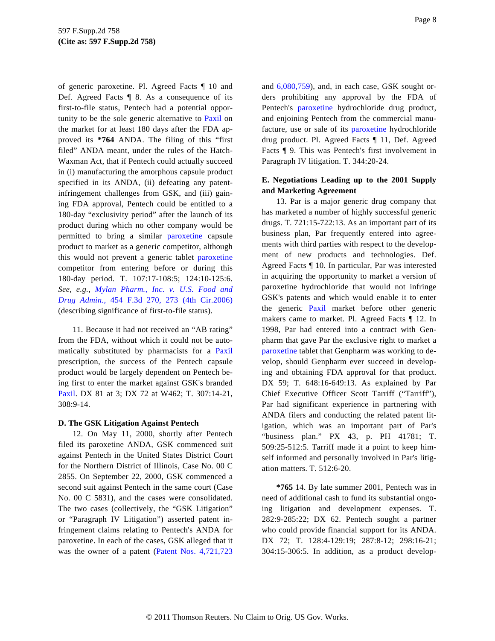of generic paroxetine. Pl. Agreed Facts ¶ 10 and Def. Agreed Facts ¶ 8. As a consequence of its first-to-file status, Pentech had a potential opportunity to be the sole generic alternative to [Paxil](http://www.westlaw.com/Find/Default.wl?rs=dfa1.0&vr=2.0&CMD=ML&DocName=I37eacf5d475111db9765f9243f53508a&FindType=BD) on the market for at least 180 days after the FDA approved its **\*764** ANDA. The filing of this "first filed" ANDA meant, under the rules of the Hatch-Waxman Act, that if Pentech could actually succeed in (i) manufacturing the amorphous capsule product specified in its ANDA, (ii) defeating any patentinfringement challenges from GSK, and (iii) gaining FDA approval, Pentech could be entitled to a 180-day "exclusivity period" after the launch of its product during which no other company would be permitted to bring a similar [paroxetine](http://www.westlaw.com/Find/Default.wl?rs=dfa1.0&vr=2.0&CMD=ML&DocName=I3c1f514e475111db9765f9243f53508a&FindType=GD) capsule product to market as a generic competitor, although this would not prevent a generic tablet [paroxetine](http://www.westlaw.com/Find/Default.wl?rs=dfa1.0&vr=2.0&CMD=ML&DocName=I3c1f514e475111db9765f9243f53508a&FindType=GD) competitor from entering before or during this 180-day period. T. 107:17-108:5; 124:10-125:6. *See, e.g., [Mylan Pharm., Inc. v. U.S. Food](http://www.westlaw.com/Find/Default.wl?rs=dfa1.0&vr=2.0&DB=506&FindType=Y&ReferencePositionType=S&SerialNum=2009492341&ReferencePosition=273) and [Drug Admin.](http://www.westlaw.com/Find/Default.wl?rs=dfa1.0&vr=2.0&DB=506&FindType=Y&ReferencePositionType=S&SerialNum=2009492341&ReferencePosition=273),* [454 F.3d 270, 273 \(4th Cir.2](http://www.westlaw.com/Find/Default.wl?rs=dfa1.0&vr=2.0&DB=506&FindType=Y&ReferencePositionType=S&SerialNum=2009492341&ReferencePosition=273)006) (describing significance of first-to-file status).

11. Because it had not received an "AB rating" from the FDA, without which it could not be automatically substituted by pharmacists for a [Paxi](http://www.westlaw.com/Find/Default.wl?rs=dfa1.0&vr=2.0&CMD=ML&DocName=I37eacf5d475111db9765f9243f53508a&FindType=BD)l prescription, the success of the Pentech capsule product would be largely dependent on Pentech being first to enter the market against GSK's branded [Paxil](http://www.westlaw.com/Find/Default.wl?rs=dfa1.0&vr=2.0&CMD=ML&DocName=I37eacf5d475111db9765f9243f53508a&FindType=BD). DX 81 at 3; DX 72 at W462; T. 307:14-21, 308:9-14.

#### **D. The GSK Litigation Against Pentech**

12. On May 11, 2000, shortly after Pentech filed its paroxetine ANDA, GSK commenced suit against Pentech in the United States District Court for the Northern District of Illinois, Case No. 00 C 2855. On September 22, 2000, GSK commenced a second suit against Pentech in the same court (Case No. 00 C 5831), and the cases were consolidated. The two cases (collectively, the "GSK Litigation" or "Paragraph IV Litigation") asserted patent infringement claims relating to Pentech's ANDA for paroxetine. In each of the cases, GSK alleged that it was the owner of a patent [\(Patent Nos. 4,721,72](http://www.westlaw.com/Find/Default.wl?rs=dfa1.0&vr=2.0&DB=4074&FindType=Y&SerialNum=1988263313)3 and [6,080,759](http://www.westlaw.com/Find/Default.wl?rs=dfa1.0&vr=2.0&DB=4074&FindType=Y&SerialNum=2000401008)), and, in each case, GSK sought orders prohibiting any approval by the FDA of Pentech's [paroxetine](http://www.westlaw.com/Find/Default.wl?rs=dfa1.0&vr=2.0&CMD=ML&DocName=I3c1f514e475111db9765f9243f53508a&FindType=GD) hydrochloride drug product, and enjoining Pentech from the commercial manufacture, use or sale of its [paroxetine](http://www.westlaw.com/Find/Default.wl?rs=dfa1.0&vr=2.0&CMD=ML&DocName=I3c1f514e475111db9765f9243f53508a&FindType=GD) hydrochloride drug product. Pl. Agreed Facts ¶ 11, Def. Agreed Facts ¶ 9. This was Pentech's first involvement in Paragraph IV litigation. T. 344:20-24.

# **E. Negotiations Leading up to the 2001 Supply and Marketing Agreement**

13. Par is a major generic drug company that has marketed a number of highly successful generic drugs. T. 721:15-722:13. As an important part of its business plan, Par frequently entered into agreements with third parties with respect to the development of new products and technologies. Def. Agreed Facts ¶ 10. In particular, Par was interested in acquiring the opportunity to market a version of paroxetine hydrochloride that would not infringe GSK's patents and which would enable it to enter the generic [Paxil](http://www.westlaw.com/Find/Default.wl?rs=dfa1.0&vr=2.0&CMD=ML&DocName=I37eacf5d475111db9765f9243f53508a&FindType=BD) market before other generic makers came to market. Pl. Agreed Facts ¶ 12. In 1998, Par had entered into a contract with Genpharm that gave Par the exclusive right to market a [paroxetine](http://www.westlaw.com/Find/Default.wl?rs=dfa1.0&vr=2.0&CMD=ML&DocName=I3c1f514e475111db9765f9243f53508a&FindType=GD) tablet that Genpharm was working to develop, should Genpharm ever succeed in developing and obtaining FDA approval for that product. DX 59; T. 648:16-649:13. As explained by Par Chief Executive Officer Scott Tarriff ("Tarriff"), Par had significant experience in partnering with ANDA filers and conducting the related patent litigation, which was an important part of Par's "business plan." PX 43, p. PH 41781; T. 509:25-512:5. Tarriff made it a point to keep himself informed and personally involved in Par's litigation matters. T. 512:6-20.

**\*765** 14. By late summer 2001, Pentech was in need of additional cash to fund its substantial ongoing litigation and development expenses. T. 282:9-285:22; DX 62. Pentech sought a partner who could provide financial support for its ANDA. DX 72; T. 128:4-129:19; 287:8-12; 298:16-21; 304:15-306:5. In addition, as a product develop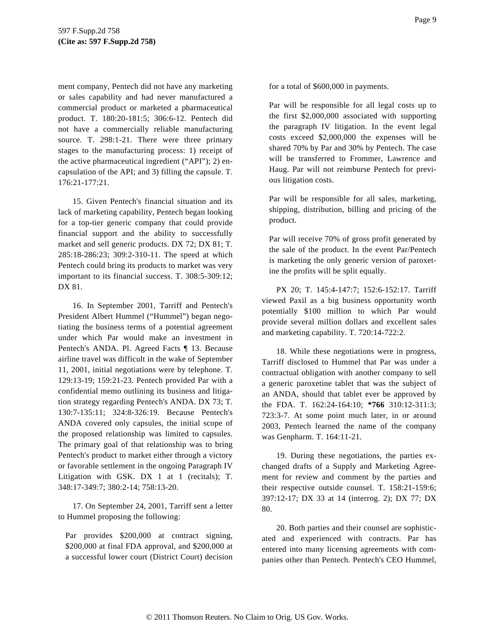ment company, Pentech did not have any marketing or sales capability and had never manufactured a commercial product or marketed a pharmaceutical product. T. 180:20-181:5; 306:6-12. Pentech did not have a commercially reliable manufacturing source. T. 298:1-21. There were three primary stages to the manufacturing process: 1) receipt of the active pharmaceutical ingredient ("API"); 2) encapsulation of the API; and 3) filling the capsule. T. 176:21-177:21.

15. Given Pentech's financial situation and its lack of marketing capability, Pentech began looking for a top-tier generic company that could provide financial support and the ability to successfully market and sell generic products. DX 72; DX 81; T. 285:18-286:23; 309:2-310-11. The speed at which Pentech could bring its products to market was very important to its financial success. T. 308:5-309:12; DX 81.

16. In September 2001, Tarriff and Pentech's President Albert Hummel ("Hummel") began negotiating the business terms of a potential agreement under which Par would make an investment in Pentech's ANDA. Pl. Agreed Facts ¶ 13. Because airline travel was difficult in the wake of September 11, 2001, initial negotiations were by telephone. T. 129:13-19; 159:21-23. Pentech provided Par with a confidential memo outlining its business and litigation strategy regarding Pentech's ANDA. DX 73; T. 130:7-135:11; 324:8-326:19. Because Pentech's ANDA covered only capsules, the initial scope of the proposed relationship was limited to capsules. The primary goal of that relationship was to bring Pentech's product to market either through a victory or favorable settlement in the ongoing Paragraph IV Litigation with GSK. DX 1 at 1 (recitals); T. 348:17-349:7; 380:2-14; 758:13-20.

17. On September 24, 2001, Tarriff sent a letter to Hummel proposing the following:

Par provides \$200,000 at contract signing, \$200,000 at final FDA approval, and \$200,000 at a successful lower court (District Court) decision for a total of \$600,000 in payments.

Par will be responsible for all legal costs up to the first \$2,000,000 associated with supporting the paragraph IV litigation. In the event legal costs exceed \$2,000,000 the expenses will be shared 70% by Par and 30% by Pentech. The case will be transferred to Frommer, Lawrence and Haug. Par will not reimburse Pentech for previous litigation costs.

Par will be responsible for all sales, marketing, shipping, distribution, billing and pricing of the product.

Par will receive 70% of gross profit generated by the sale of the product. In the event Par/Pentech is marketing the only generic version of paroxetine the profits will be split equally.

PX 20; T. 145:4-147:7; 152:6-152:17. Tarriff viewed Paxil as a big business opportunity worth potentially \$100 million to which Par would provide several million dollars and excellent sales and marketing capability. T. 720:14-722:2.

18. While these negotiations were in progress, Tarriff disclosed to Hummel that Par was under a contractual obligation with another company to sell a generic paroxetine tablet that was the subject of an ANDA, should that tablet ever be approved by the FDA. T. 162:24-164:10; **\*766** 310:12-311:3; 723:3-7. At some point much later, in or around 2003, Pentech learned the name of the company was Genpharm. T. 164:11-21.

19. During these negotiations, the parties exchanged drafts of a Supply and Marketing Agreement for review and comment by the parties and their respective outside counsel. T. 158:21-159:6; 397:12-17; DX 33 at 14 (interrog. 2); DX 77; DX 80.

20. Both parties and their counsel are sophisticated and experienced with contracts. Par has entered into many licensing agreements with companies other than Pentech. Pentech's CEO Hummel,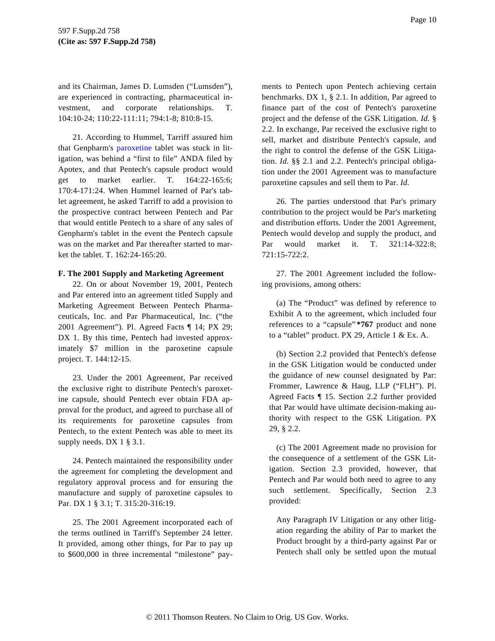and its Chairman, James D. Lumsden ("Lumsden"), are experienced in contracting, pharmaceutical investment, and corporate relationships. T. 104:10-24; 110:22-111:11; 794:1-8; 810:8-15.

21. According to Hummel, Tarriff assured him that Genpharm's [paroxetine](http://www.westlaw.com/Find/Default.wl?rs=dfa1.0&vr=2.0&CMD=ML&DocName=I3c1f514e475111db9765f9243f53508a&FindType=GD) tablet was stuck in litigation, was behind a "first to file" ANDA filed by Apotex, and that Pentech's capsule product would get to market earlier. T. 164:22-165:6; 170:4-171:24. When Hummel learned of Par's tablet agreement, he asked Tarriff to add a provision to the prospective contract between Pentech and Par that would entitle Pentech to a share of any sales of Genpharm's tablet in the event the Pentech capsule was on the market and Par thereafter started to market the tablet. T. 162:24-165:20.

# **F. The 2001 Supply and Marketing Agreement**

22. On or about November 19, 2001, Pentech and Par entered into an agreement titled Supply and Marketing Agreement Between Pentech Pharmaceuticals, Inc. and Par Pharmaceutical, Inc. ("the 2001 Agreement"). Pl. Agreed Facts ¶ 14; PX 29; DX 1. By this time, Pentech had invested approximately \$7 million in the paroxetine capsule project. T. 144:12-15.

23. Under the 2001 Agreement, Par received the exclusive right to distribute Pentech's paroxetine capsule, should Pentech ever obtain FDA approval for the product, and agreed to purchase all of its requirements for paroxetine capsules from Pentech, to the extent Pentech was able to meet its supply needs. DX 1 § 3.1.

24. Pentech maintained the responsibility under the agreement for completing the development and regulatory approval process and for ensuring the manufacture and supply of paroxetine capsules to Par. DX 1 § 3.1; T. 315:20-316:19.

25. The 2001 Agreement incorporated each of the terms outlined in Tarriff's September 24 letter. It provided, among other things, for Par to pay up to \$600,000 in three incremental "milestone" payments to Pentech upon Pentech achieving certain benchmarks. DX 1, § 2.1. In addition, Par agreed to finance part of the cost of Pentech's paroxetine project and the defense of the GSK Litigation. *Id.* § 2.2. In exchange, Par received the exclusive right to sell, market and distribute Pentech's capsule, and the right to control the defense of the GSK Litigation. *Id.* §§ 2.1 and 2.2. Pentech's principal obligation under the 2001 Agreement was to manufacture paroxetine capsules and sell them to Par. *Id.*

26. The parties understood that Par's primary contribution to the project would be Par's marketing and distribution efforts. Under the 2001 Agreement, Pentech would develop and supply the product, and Par would market it. T. 321:14-322:8; 721:15-722:2.

27. The 2001 Agreement included the following provisions, among others:

(a) The "Product" was defined by reference to Exhibit A to the agreement, which included four references to a "capsule" **\*767** product and none to a "tablet" product. PX 29, Article 1 & Ex. A.

(b) Section 2.2 provided that Pentech's defense in the GSK Litigation would be conducted under the guidance of new counsel designated by Par: Frommer, Lawrence & Haug, LLP ("FLH"). Pl. Agreed Facts ¶ 15. Section 2.2 further provided that Par would have ultimate decision-making authority with respect to the GSK Litigation. PX 29, § 2.2.

(c) The 2001 Agreement made no provision for the consequence of a settlement of the GSK Litigation. Section 2.3 provided, however, that Pentech and Par would both need to agree to any such settlement. Specifically, Section 2.3 provided:

Any Paragraph IV Litigation or any other litigation regarding the ability of Par to market the Product brought by a third-party against Par or Pentech shall only be settled upon the mutual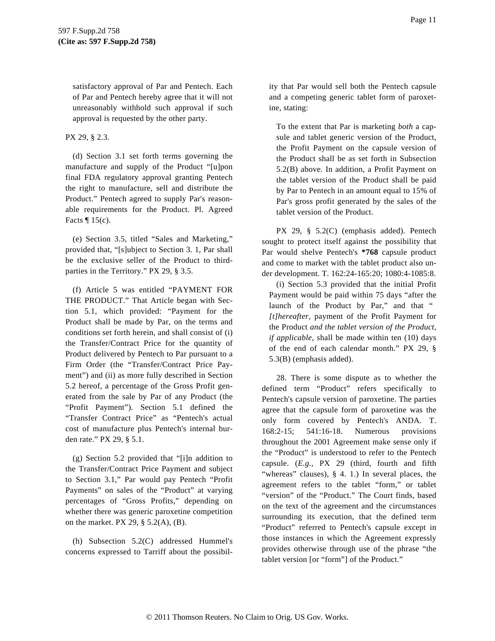satisfactory approval of Par and Pentech. Each of Par and Pentech hereby agree that it will not unreasonably withhold such approval if such approval is requested by the other party.

# PX 29, § 2.3.

(d) Section 3.1 set forth terms governing the manufacture and supply of the Product "[u]pon final FDA regulatory approval granting Pentech the right to manufacture, sell and distribute the Product." Pentech agreed to supply Par's reasonable requirements for the Product. Pl. Agreed Facts  $\P$  15(c).

(e) Section 3.5, titled "Sales and Marketing," provided that, "[s]ubject to Section 3. 1, Par shall be the exclusive seller of the Product to thirdparties in the Territory." PX 29, § 3.5.

(f) Article 5 was entitled "PAYMENT FOR THE PRODUCT." That Article began with Section 5.1, which provided: "Payment for the Product shall be made by Par, on the terms and conditions set forth herein, and shall consist of (i) the Transfer/Contract Price for the quantity of Product delivered by Pentech to Par pursuant to a Firm Order (the "Transfer/Contract Price Payment") and (ii) as more fully described in Section 5.2 hereof, a percentage of the Gross Profit generated from the sale by Par of any Product (the "Profit Payment"). Section 5.1 defined the "Transfer Contract Price" as "Pentech's actual cost of manufacture plus Pentech's internal burden rate." PX 29, § 5.1.

(g) Section 5.2 provided that "[i]n addition to the Transfer/Contract Price Payment and subject to Section 3.1," Par would pay Pentech "Profit Payments" on sales of the "Product" at varying percentages of "Gross Profits," depending on whether there was generic paroxetine competition on the market. PX 29, § 5.2(A), (B).

(h) Subsection 5.2(C) addressed Hummel's concerns expressed to Tarriff about the possibility that Par would sell both the Pentech capsule and a competing generic tablet form of paroxetine, stating:

To the extent that Par is marketing *both* a capsule and tablet generic version of the Product, the Profit Payment on the capsule version of the Product shall be as set forth in Subsection 5.2(B) above. In addition, a Profit Payment on the tablet version of the Product shall be paid by Par to Pentech in an amount equal to 15% of Par's gross profit generated by the sales of the tablet version of the Product.

PX 29, § 5.2(C) (emphasis added). Pentech sought to protect itself against the possibility that Par would shelve Pentech's **\*768** capsule product and come to market with the tablet product also under development. T. 162:24-165:20; 1080:4-1085:8.

(i) Section 5.3 provided that the initial Profit Payment would be paid within 75 days "after the launch of the Product by Par," and that " *[t]hereafter,* payment of the Profit Payment for the Product *and the tablet version of the Product, if applicable,* shall be made within ten (10) days of the end of each calendar month." PX 29, § 5.3(B) (emphasis added).

28. There is some dispute as to whether the defined term "Product" refers specifically to Pentech's capsule version of paroxetine. The parties agree that the capsule form of paroxetine was the only form covered by Pentech's ANDA. T. 168:2-15; 541:16-18. Numerous provisions throughout the 2001 Agreement make sense only if the "Product" is understood to refer to the Pentech capsule. (*E.g.,* PX 29 (third, fourth and fifth "whereas" clauses), § 4. 1.) In several places, the agreement refers to the tablet "form," or tablet "version" of the "Product." The Court finds, based on the text of the agreement and the circumstances surrounding its execution, that the defined term "Product" referred to Pentech's capsule except in those instances in which the Agreement expressly provides otherwise through use of the phrase "the tablet version [or "form"] of the Product."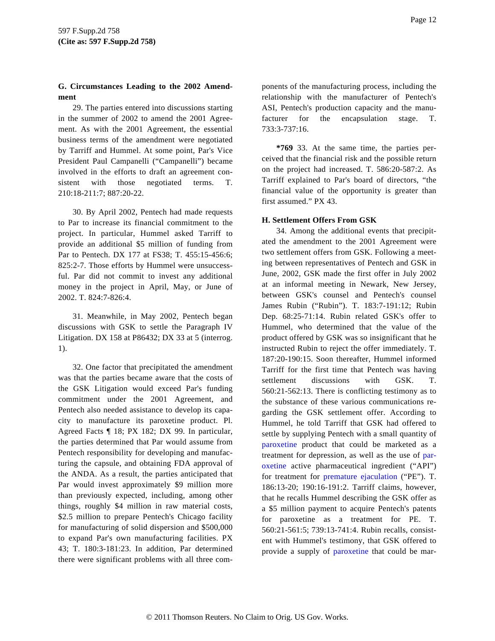# **G. Circumstances Leading to the 2002 Amendment**

29. The parties entered into discussions starting in the summer of 2002 to amend the 2001 Agreement. As with the 2001 Agreement, the essential business terms of the amendment were negotiated by Tarriff and Hummel. At some point, Par's Vice President Paul Campanelli ("Campanelli") became involved in the efforts to draft an agreement consistent with those negotiated terms. T. 210:18-211:7; 887:20-22.

30. By April 2002, Pentech had made requests to Par to increase its financial commitment to the project. In particular, Hummel asked Tarriff to provide an additional \$5 million of funding from Par to Pentech. DX 177 at FS38; T. 455:15-456:6; 825:2-7. Those efforts by Hummel were unsuccessful. Par did not commit to invest any additional money in the project in April, May, or June of 2002. T. 824:7-826:4.

31. Meanwhile, in May 2002, Pentech began discussions with GSK to settle the Paragraph IV Litigation. DX 158 at P86432; DX 33 at 5 (interrog. 1).

32. One factor that precipitated the amendment was that the parties became aware that the costs of the GSK Litigation would exceed Par's funding commitment under the 2001 Agreement, and Pentech also needed assistance to develop its capacity to manufacture its paroxetine product. Pl. Agreed Facts ¶ 18; PX 182; DX 99. In particular, the parties determined that Par would assume from Pentech responsibility for developing and manufacturing the capsule, and obtaining FDA approval of the ANDA. As a result, the parties anticipated that Par would invest approximately \$9 million more than previously expected, including, among other things, roughly \$4 million in raw material costs, \$2.5 million to prepare Pentech's Chicago facility for manufacturing of solid dispersion and \$500,000 to expand Par's own manufacturing facilities. PX 43; T. 180:3-181:23. In addition, Par determined there were significant problems with all three components of the manufacturing process, including the relationship with the manufacturer of Pentech's ASI, Pentech's production capacity and the manu-

**\*769** 33. At the same time, the parties perceived that the financial risk and the possible return on the project had increased. T. 586:20-587:2. As Tarriff explained to Par's board of directors, "the financial value of the opportunity is greater than first assumed." PX 43.

facturer for the encapsulation stage. T.

# **H. Settlement Offers From GSK**

733:3-737:16.

34. Among the additional events that precipitated the amendment to the 2001 Agreement were two settlement offers from GSK. Following a meeting between representatives of Pentech and GSK in June, 2002, GSK made the first offer in July 2002 at an informal meeting in Newark, New Jersey, between GSK's counsel and Pentech's counsel James Rubin ("Rubin"). T. 183:7-191:12; Rubin Dep. 68:25-71:14. Rubin related GSK's offer to Hummel, who determined that the value of the product offered by GSK was so insignificant that he instructed Rubin to reject the offer immediately. T. 187:20-190:15. Soon thereafter, Hummel informed Tarriff for the first time that Pentech was having settlement discussions with GSK. T. 560:21-562:13. There is conflicting testimony as to the substance of these various communications regarding the GSK settlement offer. According to Hummel, he told Tarriff that GSK had offered to settle by supplying Pentech with a small quantity of [paroxetine](http://www.westlaw.com/Find/Default.wl?rs=dfa1.0&vr=2.0&CMD=ML&DocName=I3c1f514e475111db9765f9243f53508a&FindType=GD) product that could be marketed as a treatment for depression, as well as the use of [par](http://www.westlaw.com/Find/Default.wl?rs=dfa1.0&vr=2.0&CMD=ML&DocName=I3c1f514e475111db9765f9243f53508a&FindType=GD)[oxetine](http://www.westlaw.com/Find/Default.wl?rs=dfa1.0&vr=2.0&CMD=ML&DocName=I3c1f514e475111db9765f9243f53508a&FindType=GD) active pharmaceutical ingredient ("API") for treatment for [premature ejaculation](http://www.westlaw.com/Find/Default.wl?rs=dfa1.0&vr=2.0&CMD=ML&DocName=Ibb0344c9475411db9765f9243f53508a&FindType=UM) ("PE"). T. 186:13-20; 190:16-191:2. Tarriff claims, however, that he recalls Hummel describing the GSK offer as a \$5 million payment to acquire Pentech's patents for paroxetine as a treatment for PE. T. 560:21-561:5; 739:13-741:4. Rubin recalls, consistent with Hummel's testimony, that GSK offered to provide a supply of [paroxetine](http://www.westlaw.com/Find/Default.wl?rs=dfa1.0&vr=2.0&CMD=ML&DocName=I3c1f514e475111db9765f9243f53508a&FindType=GD) that could be mar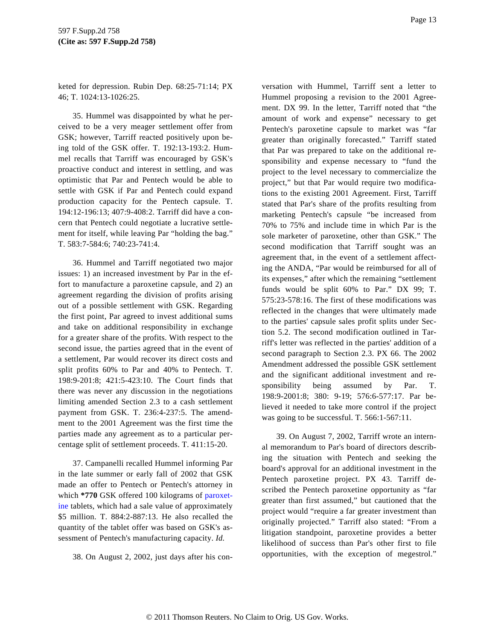keted for depression. Rubin Dep. 68:25-71:14; PX 46; T. 1024:13-1026:25.

35. Hummel was disappointed by what he perceived to be a very meager settlement offer from GSK; however, Tarriff reacted positively upon being told of the GSK offer. T. 192:13-193:2. Hummel recalls that Tarriff was encouraged by GSK's proactive conduct and interest in settling, and was optimistic that Par and Pentech would be able to settle with GSK if Par and Pentech could expand production capacity for the Pentech capsule. T. 194:12-196:13; 407:9-408:2. Tarriff did have a concern that Pentech could negotiate a lucrative settlement for itself, while leaving Par "holding the bag." T. 583:7-584:6; 740:23-741:4.

36. Hummel and Tarriff negotiated two major issues: 1) an increased investment by Par in the effort to manufacture a paroxetine capsule, and 2) an agreement regarding the division of profits arising out of a possible settlement with GSK. Regarding the first point, Par agreed to invest additional sums and take on additional responsibility in exchange for a greater share of the profits. With respect to the second issue, the parties agreed that in the event of a settlement, Par would recover its direct costs and split profits 60% to Par and 40% to Pentech. T. 198:9-201:8; 421:5-423:10. The Court finds that there was never any discussion in the negotiations limiting amended Section 2.3 to a cash settlement payment from GSK. T. 236:4-237:5. The amendment to the 2001 Agreement was the first time the parties made any agreement as to a particular percentage split of settlement proceeds. T. 411:15-20.

37. Campanelli recalled Hummel informing Par in the late summer or early fall of 2002 that GSK made an offer to Pentech or Pentech's attorney in which \*770 GSK offered 100 kilograms of [paroxet](http://www.westlaw.com/Find/Default.wl?rs=dfa1.0&vr=2.0&CMD=ML&DocName=I3c1f514e475111db9765f9243f53508a&FindType=GD)[ine](http://www.westlaw.com/Find/Default.wl?rs=dfa1.0&vr=2.0&CMD=ML&DocName=I3c1f514e475111db9765f9243f53508a&FindType=GD) tablets, which had a sale value of approximately \$5 million. T. 884:2-887:13. He also recalled the quantity of the tablet offer was based on GSK's assessment of Pentech's manufacturing capacity. *Id.*

38. On August 2, 2002, just days after his con-

versation with Hummel, Tarriff sent a letter to Hummel proposing a revision to the 2001 Agreement. DX 99. In the letter, Tarriff noted that "the amount of work and expense" necessary to get Pentech's paroxetine capsule to market was "far greater than originally forecasted." Tarriff stated that Par was prepared to take on the additional responsibility and expense necessary to "fund the project to the level necessary to commercialize the project," but that Par would require two modifications to the existing 2001 Agreement. First, Tarriff stated that Par's share of the profits resulting from marketing Pentech's capsule "be increased from 70% to 75% and include time in which Par is the sole marketer of paroxetine, other than GSK." The second modification that Tarriff sought was an agreement that, in the event of a settlement affecting the ANDA, "Par would be reimbursed for all of its expenses," after which the remaining "settlement funds would be split 60% to Par." DX 99; T. 575:23-578:16. The first of these modifications was reflected in the changes that were ultimately made to the parties' capsule sales profit splits under Section 5.2. The second modification outlined in Tarriff's letter was reflected in the parties' addition of a second paragraph to Section 2.3. PX 66. The 2002 Amendment addressed the possible GSK settlement and the significant additional investment and responsibility being assumed by Par. T. 198:9-2001:8; 380: 9-19; 576:6-577:17. Par believed it needed to take more control if the project was going to be successful. T. 566:1-567:11.

39. On August 7, 2002, Tarriff wrote an internal memorandum to Par's board of directors describing the situation with Pentech and seeking the board's approval for an additional investment in the Pentech paroxetine project. PX 43. Tarriff described the Pentech paroxetine opportunity as "far greater than first assumed," but cautioned that the project would "require a far greater investment than originally projected." Tarriff also stated: "From a litigation standpoint, paroxetine provides a better likelihood of success than Par's other first to file opportunities, with the exception of megestrol."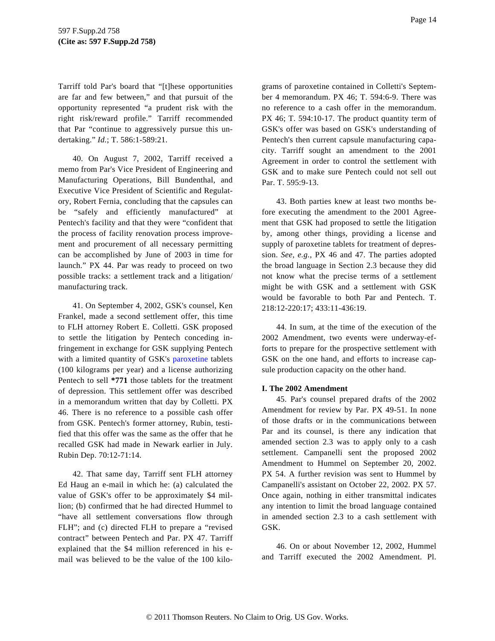Tarriff told Par's board that "[t]hese opportunities are far and few between," and that pursuit of the opportunity represented "a prudent risk with the right risk/reward profile." Tarriff recommended that Par "continue to aggressively pursue this undertaking." *Id.*; T. 586:1-589:21.

40. On August 7, 2002, Tarriff received a memo from Par's Vice President of Engineering and Manufacturing Operations, Bill Bundenthal, and Executive Vice President of Scientific and Regulatory, Robert Fernia, concluding that the capsules can be "safely and efficiently manufactured" at Pentech's facility and that they were "confident that the process of facility renovation process improvement and procurement of all necessary permitting can be accomplished by June of 2003 in time for launch." PX 44. Par was ready to proceed on two possible tracks: a settlement track and a litigation/ manufacturing track.

41. On September 4, 2002, GSK's counsel, Ken Frankel, made a second settlement offer, this time to FLH attorney Robert E. Colletti. GSK proposed to settle the litigation by Pentech conceding infringement in exchange for GSK supplying Pentech with a limited quantity of GSK's [paroxetine](http://www.westlaw.com/Find/Default.wl?rs=dfa1.0&vr=2.0&CMD=ML&DocName=I3c1f514e475111db9765f9243f53508a&FindType=GD) tablets (100 kilograms per year) and a license authorizing Pentech to sell **\*771** those tablets for the treatment of depression. This settlement offer was described in a memorandum written that day by Colletti. PX 46. There is no reference to a possible cash offer from GSK. Pentech's former attorney, Rubin, testified that this offer was the same as the offer that he recalled GSK had made in Newark earlier in July. Rubin Dep. 70:12-71:14.

42. That same day, Tarriff sent FLH attorney Ed Haug an e-mail in which he: (a) calculated the value of GSK's offer to be approximately \$4 million; (b) confirmed that he had directed Hummel to "have all settlement conversations flow through FLH"; and (c) directed FLH to prepare a "revised contract" between Pentech and Par. PX 47. Tarriff explained that the \$4 million referenced in his email was believed to be the value of the 100 kilograms of paroxetine contained in Colletti's September 4 memorandum. PX 46; T. 594:6-9. There was no reference to a cash offer in the memorandum. PX 46; T. 594:10-17. The product quantity term of GSK's offer was based on GSK's understanding of Pentech's then current capsule manufacturing capacity. Tarriff sought an amendment to the 2001 Agreement in order to control the settlement with GSK and to make sure Pentech could not sell out

43. Both parties knew at least two months before executing the amendment to the 2001 Agreement that GSK had proposed to settle the litigation by, among other things, providing a license and supply of paroxetine tablets for treatment of depression. *See, e.g.,* PX 46 and 47. The parties adopted the broad language in Section 2.3 because they did not know what the precise terms of a settlement might be with GSK and a settlement with GSK would be favorable to both Par and Pentech. T. 218:12-220:17; 433:11-436:19.

44. In sum, at the time of the execution of the 2002 Amendment, two events were underway-efforts to prepare for the prospective settlement with GSK on the one hand, and efforts to increase capsule production capacity on the other hand.

# **I. The 2002 Amendment**

Par. T. 595:9-13.

45. Par's counsel prepared drafts of the 2002 Amendment for review by Par. PX 49-51. In none of those drafts or in the communications between Par and its counsel, is there any indication that amended section 2.3 was to apply only to a cash settlement. Campanelli sent the proposed 2002 Amendment to Hummel on September 20, 2002. PX 54. A further revision was sent to Hummel by Campanelli's assistant on October 22, 2002. PX 57. Once again, nothing in either transmittal indicates any intention to limit the broad language contained in amended section 2.3 to a cash settlement with GSK.

46. On or about November 12, 2002, Hummel and Tarriff executed the 2002 Amendment. Pl.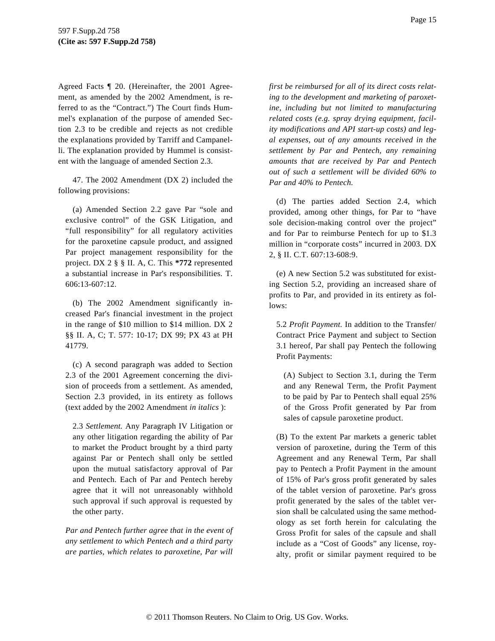Agreed Facts ¶ 20. (Hereinafter, the 2001 Agreement, as amended by the 2002 Amendment, is referred to as the "Contract.") The Court finds Hummel's explanation of the purpose of amended Section 2.3 to be credible and rejects as not credible the explanations provided by Tarriff and Campanelli. The explanation provided by Hummel is consistent with the language of amended Section 2.3.

47. The 2002 Amendment (DX 2) included the following provisions:

(a) Amended Section 2.2 gave Par "sole and exclusive control" of the GSK Litigation, and "full responsibility" for all regulatory activities for the paroxetine capsule product, and assigned Par project management responsibility for the project. DX 2 § § II. A, C. This **\*772** represented a substantial increase in Par's responsibilities. T. 606:13-607:12.

(b) The 2002 Amendment significantly increased Par's financial investment in the project in the range of \$10 million to \$14 million. DX 2 §§ II. A, C; T. 577: 10-17; DX 99; PX 43 at PH 41779.

(c) A second paragraph was added to Section 2.3 of the 2001 Agreement concerning the division of proceeds from a settlement. As amended, Section 2.3 provided, in its entirety as follows (text added by the 2002 Amendment *in italics* ):

2.3 *Settlement.* Any Paragraph IV Litigation or any other litigation regarding the ability of Par to market the Product brought by a third party against Par or Pentech shall only be settled upon the mutual satisfactory approval of Par and Pentech. Each of Par and Pentech hereby agree that it will not unreasonably withhold such approval if such approval is requested by the other party.

*Par and Pentech further agree that in the event of any settlement to which Pentech and a third party are parties, which relates to paroxetine, Par will*

*first be reimbursed for all of its direct costs relating to the development and marketing of paroxetine, including but not limited to manufacturing related costs (e.g. spray drying equipment, facility modifications and API start-up costs) and legal expenses, out of any amounts received in the settlement by Par and Pentech, any remaining amounts that are received by Par and Pentech out of such a settlement will be divided 60% to Par and 40% to Pentech.*

(d) The parties added Section 2.4, which provided, among other things, for Par to "have sole decision-making control over the project" and for Par to reimburse Pentech for up to \$1.3 million in "corporate costs" incurred in 2003. DX 2, § II. C.T. 607:13-608:9.

(e) A new Section 5.2 was substituted for existing Section 5.2, providing an increased share of profits to Par, and provided in its entirety as follows:

5.2 *Profit Payment.* In addition to the Transfer/ Contract Price Payment and subject to Section 3.1 hereof, Par shall pay Pentech the following Profit Payments:

(A) Subject to Section 3.1, during the Term and any Renewal Term, the Profit Payment to be paid by Par to Pentech shall equal 25% of the Gross Profit generated by Par from sales of capsule paroxetine product.

(B) To the extent Par markets a generic tablet version of paroxetine, during the Term of this Agreement and any Renewal Term, Par shall pay to Pentech a Profit Payment in the amount of 15% of Par's gross profit generated by sales of the tablet version of paroxetine. Par's gross profit generated by the sales of the tablet version shall be calculated using the same methodology as set forth herein for calculating the Gross Profit for sales of the capsule and shall include as a "Cost of Goods" any license, royalty, profit or similar payment required to be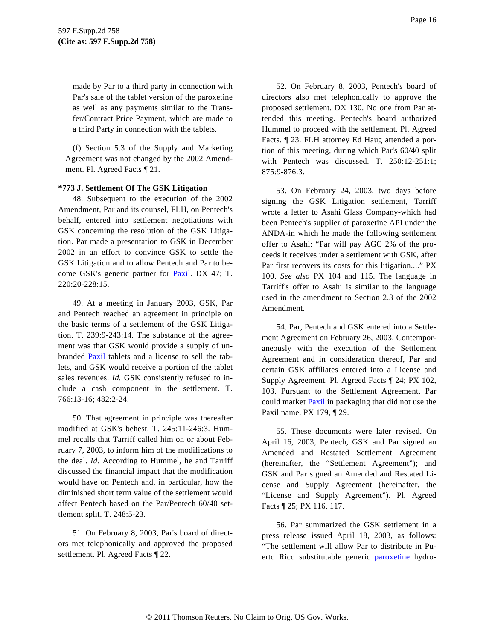made by Par to a third party in connection with Par's sale of the tablet version of the paroxetine as well as any payments similar to the Transfer/Contract Price Payment, which are made to a third Party in connection with the tablets.

(f) Section 5.3 of the Supply and Marketing Agreement was not changed by the 2002 Amendment. Pl. Agreed Facts ¶ 21.

## **\*773 J. Settlement Of The GSK Litigation**

48. Subsequent to the execution of the 2002 Amendment, Par and its counsel, FLH, on Pentech's behalf, entered into settlement negotiations with GSK concerning the resolution of the GSK Litigation. Par made a presentation to GSK in December 2002 in an effort to convince GSK to settle the GSK Litigation and to allow Pentech and Par to become GSK's generic partner for [Paxil](http://www.westlaw.com/Find/Default.wl?rs=dfa1.0&vr=2.0&CMD=ML&DocName=I37eacf5d475111db9765f9243f53508a&FindType=BD). DX 47; T. 220:20-228:15.

49. At a meeting in January 2003, GSK, Par and Pentech reached an agreement in principle on the basic terms of a settlement of the GSK Litigation. T. 239:9-243:14. The substance of the agreement was that GSK would provide a supply of unbranded [Paxil](http://www.westlaw.com/Find/Default.wl?rs=dfa1.0&vr=2.0&CMD=ML&DocName=I37eacf5d475111db9765f9243f53508a&FindType=BD) tablets and a license to sell the tablets, and GSK would receive a portion of the tablet sales revenues. *Id.* GSK consistently refused to include a cash component in the settlement. T. 766:13-16; 482:2-24.

50. That agreement in principle was thereafter modified at GSK's behest. T. 245:11-246:3. Hummel recalls that Tarriff called him on or about February 7, 2003, to inform him of the modifications to the deal. *Id.* According to Hummel, he and Tarriff discussed the financial impact that the modification would have on Pentech and, in particular, how the diminished short term value of the settlement would affect Pentech based on the Par/Pentech 60/40 settlement split. T. 248:5-23.

51. On February 8, 2003, Par's board of directors met telephonically and approved the proposed settlement. Pl. Agreed Facts ¶ 22.

52. On February 8, 2003, Pentech's board of directors also met telephonically to approve the proposed settlement. DX 130. No one from Par attended this meeting. Pentech's board authorized Hummel to proceed with the settlement. Pl. Agreed Facts. ¶ 23. FLH attorney Ed Haug attended a portion of this meeting, during which Par's 60/40 split with Pentech was discussed. T. 250:12-251:1; 875:9-876:3.

53. On February 24, 2003, two days before signing the GSK Litigation settlement, Tarriff wrote a letter to Asahi Glass Company-which had been Pentech's supplier of paroxetine API under the ANDA-in which he made the following settlement offer to Asahi: "Par will pay AGC 2% of the proceeds it receives under a settlement with GSK, after Par first recovers its costs for this litigation...." PX 100. *See also* PX 104 and 115. The language in Tarriff's offer to Asahi is similar to the language used in the amendment to Section 2.3 of the 2002 Amendment.

54. Par, Pentech and GSK entered into a Settlement Agreement on February 26, 2003. Contemporaneously with the execution of the Settlement Agreement and in consideration thereof, Par and certain GSK affiliates entered into a License and Supply Agreement. Pl. Agreed Facts ¶ 24; PX 102, 103. Pursuant to the Settlement Agreement, Par could market [Paxil](http://www.westlaw.com/Find/Default.wl?rs=dfa1.0&vr=2.0&CMD=ML&DocName=I37eacf5d475111db9765f9243f53508a&FindType=BD) in packaging that did not use the Paxil name. PX 179, ¶ 29.

55. These documents were later revised. On April 16, 2003, Pentech, GSK and Par signed an Amended and Restated Settlement Agreement (hereinafter, the "Settlement Agreement"); and GSK and Par signed an Amended and Restated License and Supply Agreement (hereinafter, the "License and Supply Agreement"). Pl. Agreed Facts ¶ 25; PX 116, 117.

56. Par summarized the GSK settlement in a press release issued April 18, 2003, as follows: "The settlement will allow Par to distribute in Puerto Rico substitutable generic [paroxetine](http://www.westlaw.com/Find/Default.wl?rs=dfa1.0&vr=2.0&CMD=ML&DocName=I3c1f514e475111db9765f9243f53508a&FindType=GD) hydro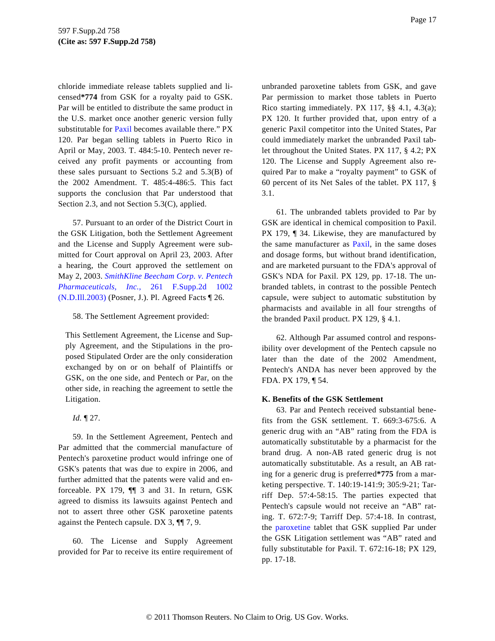chloride immediate release tablets supplied and licensed**\*774** from GSK for a royalty paid to GSK. Par will be entitled to distribute the same product in the U.S. market once another generic version fully substitutable for [Paxi](http://www.westlaw.com/Find/Default.wl?rs=dfa1.0&vr=2.0&CMD=ML&DocName=I37eacf5d475111db9765f9243f53508a&FindType=BD)l becomes available there." PX 120. Par began selling tablets in Puerto Rico in April or May, 2003. T. 484:5-10. Pentech never received any profit payments or accounting from these sales pursuant to Sections 5.2 and 5.3(B) of the 2002 Amendment. T. 485:4-486:5. This fact supports the conclusion that Par understood that Section 2.3, and not Section 5.3(C), applied.

57. Pursuant to an order of the District Court in the GSK Litigation, both the Settlement Agreement and the License and Supply Agreement were submitted for Court approval on April 23, 2003. After a hearing, the Court approved the settlement on May 2, 2003. *[SmithKline Beecham Corp. v. Pentech](http://www.westlaw.com/Find/Default.wl?rs=dfa1.0&vr=2.0&DB=4637&FindType=Y&SerialNum=2003344076) [Pharmaceuticals, In](http://www.westlaw.com/Find/Default.wl?rs=dfa1.0&vr=2.0&DB=4637&FindType=Y&SerialNum=2003344076)c.,* [261 F.Supp.2d](http://www.westlaw.com/Find/Default.wl?rs=dfa1.0&vr=2.0&DB=4637&FindType=Y&SerialNum=2003344076) 1002 [\(N.D.Ill.2003\)](http://www.westlaw.com/Find/Default.wl?rs=dfa1.0&vr=2.0&DB=4637&FindType=Y&SerialNum=2003344076) (Posner, J.). Pl. Agreed Facts ¶ 26.

58. The Settlement Agreement provided:

This Settlement Agreement, the License and Supply Agreement, and the Stipulations in the proposed Stipulated Order are the only consideration exchanged by on or on behalf of Plaintiffs or GSK, on the one side, and Pentech or Par, on the other side, in reaching the agreement to settle the Litigation.

*Id.* ¶ 27.

59. In the Settlement Agreement, Pentech and Par admitted that the commercial manufacture of Pentech's paroxetine product would infringe one of GSK's patents that was due to expire in 2006, and further admitted that the patents were valid and enforceable. PX 179, ¶¶ 3 and 31. In return, GSK agreed to dismiss its lawsuits against Pentech and not to assert three other GSK paroxetine patents against the Pentech capsule. DX 3, ¶¶ 7, 9.

60. The License and Supply Agreement provided for Par to receive its entire requirement of unbranded paroxetine tablets from GSK, and gave Par permission to market those tablets in Puerto Rico starting immediately. PX 117, §§ 4.1, 4.3(a); PX 120. It further provided that, upon entry of a generic Paxil competitor into the United States, Par could immediately market the unbranded Paxil tablet throughout the United States. PX 117, § 4.2; PX 120. The License and Supply Agreement also required Par to make a "royalty payment" to GSK of 60 percent of its Net Sales of the tablet. PX 117, § 3.1.

61. The unbranded tablets provided to Par by GSK are identical in chemical composition to Paxil. PX 179, ¶ 34. Likewise, they are manufactured by the same manufacturer as [Paxil](http://www.westlaw.com/Find/Default.wl?rs=dfa1.0&vr=2.0&CMD=ML&DocName=I37eacf5d475111db9765f9243f53508a&FindType=BD), in the same doses and dosage forms, but without brand identification, and are marketed pursuant to the FDA's approval of GSK's NDA for Paxil. PX 129, pp. 17-18. The unbranded tablets, in contrast to the possible Pentech capsule, were subject to automatic substitution by pharmacists and available in all four strengths of the branded Paxil product. PX 129, § 4.1.

62. Although Par assumed control and responsibility over development of the Pentech capsule no later than the date of the 2002 Amendment, Pentech's ANDA has never been approved by the FDA. PX 179, ¶ 54.

# **K. Benefits of the GSK Settlement**

63. Par and Pentech received substantial benefits from the GSK settlement. T. 669:3-675:6. A generic drug with an "AB" rating from the FDA is automatically substitutable by a pharmacist for the brand drug. A non-AB rated generic drug is not automatically substitutable. As a result, an AB rating for a generic drug is preferred**\*775** from a marketing perspective. T. 140:19-141:9; 305:9-21; Tarriff Dep. 57:4-58:15. The parties expected that Pentech's capsule would not receive an "AB" rating. T. 672:7-9; Tarriff Dep. 57:4-18. In contrast, the [paroxetine](http://www.westlaw.com/Find/Default.wl?rs=dfa1.0&vr=2.0&CMD=ML&DocName=I3c1f514e475111db9765f9243f53508a&FindType=GD) tablet that GSK supplied Par under the GSK Litigation settlement was "AB" rated and fully substitutable for Paxil. T. 672:16-18; PX 129, pp. 17-18.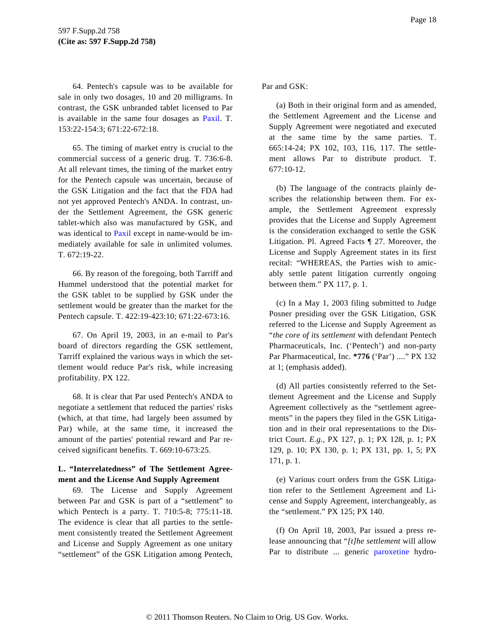64. Pentech's capsule was to be available for sale in only two dosages, 10 and 20 milligrams. In contrast, the GSK unbranded tablet licensed to Par is available in the same four dosages as [Paxil](http://www.westlaw.com/Find/Default.wl?rs=dfa1.0&vr=2.0&CMD=ML&DocName=I37eacf5d475111db9765f9243f53508a&FindType=BD). T. 153:22-154:3; 671:22-672:18.

65. The timing of market entry is crucial to the commercial success of a generic drug. T. 736:6-8. At all relevant times, the timing of the market entry for the Pentech capsule was uncertain, because of the GSK Litigation and the fact that the FDA had not yet approved Pentech's ANDA. In contrast, under the Settlement Agreement, the GSK generic tablet-which also was manufactured by GSK, and was identical to [Paxil](http://www.westlaw.com/Find/Default.wl?rs=dfa1.0&vr=2.0&CMD=ML&DocName=I37eacf5d475111db9765f9243f53508a&FindType=BD) except in name-would be immediately available for sale in unlimited volumes. T. 672:19-22.

66. By reason of the foregoing, both Tarriff and Hummel understood that the potential market for the GSK tablet to be supplied by GSK under the settlement would be greater than the market for the Pentech capsule. T. 422:19-423:10; 671:22-673:16.

67. On April 19, 2003, in an e-mail to Par's board of directors regarding the GSK settlement, Tarriff explained the various ways in which the settlement would reduce Par's risk, while increasing profitability. PX 122.

68. It is clear that Par used Pentech's ANDA to negotiate a settlement that reduced the parties' risks (which, at that time, had largely been assumed by Par) while, at the same time, it increased the amount of the parties' potential reward and Par received significant benefits. T. 669:10-673:25.

# **L. "Interrelatedness" of The Settlement Agreement and the License And Supply Agreement**

69. The License and Supply Agreement between Par and GSK is part of a "settlement" to which Pentech is a party. T. 710:5-8; 775:11-18. The evidence is clear that all parties to the settlement consistently treated the Settlement Agreement and License and Supply Agreement as one unitary "settlement" of the GSK Litigation among Pentech,

Par and GSK:

(a) Both in their original form and as amended, the Settlement Agreement and the License and Supply Agreement were negotiated and executed at the same time by the same parties. T. 665:14-24; PX 102, 103, 116, 117. The settlement allows Par to distribute product. T. 677:10-12.

(b) The language of the contracts plainly describes the relationship between them. For example, the Settlement Agreement expressly provides that the License and Supply Agreement is the consideration exchanged to settle the GSK Litigation. Pl. Agreed Facts ¶ 27. Moreover, the License and Supply Agreement states in its first recital: "WHEREAS, the Parties wish to amicably settle patent litigation currently ongoing between them." PX 117, p. 1.

(c) In a May 1, 2003 filing submitted to Judge Posner presiding over the GSK Litigation, GSK referred to the License and Supply Agreement as "*the core of its settlement* with defendant Pentech Pharmaceuticals, Inc. ('Pentech') and non-party Par Pharmaceutical, Inc. **\*776** ('Par') ...." PX 132 at 1; (emphasis added).

(d) All parties consistently referred to the Settlement Agreement and the License and Supply Agreement collectively as the "settlement agreements" in the papers they filed in the GSK Litigation and in their oral representations to the District Court. *E.g.,* PX 127, p. 1; PX 128, p. 1; PX 129, p. 10; PX 130, p. 1; PX 131, pp. 1, 5; PX 171, p. 1.

(e) Various court orders from the GSK Litigation refer to the Settlement Agreement and License and Supply Agreement, interchangeably, as the "settlement." PX 125; PX 140.

(f) On April 18, 2003, Par issued a press release announcing that "*[t]he settlement* will allow Par to distribute ... generic [paroxetine](http://www.westlaw.com/Find/Default.wl?rs=dfa1.0&vr=2.0&CMD=ML&DocName=I3c1f514e475111db9765f9243f53508a&FindType=GD) hydro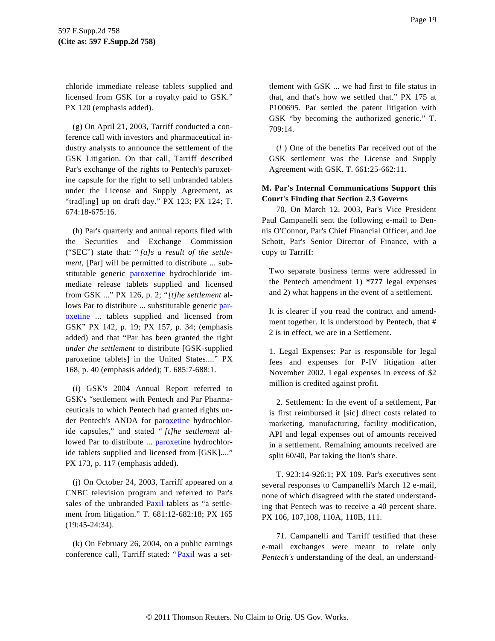chloride immediate release tablets supplied and licensed from GSK for a royalty paid to GSK." PX 120 (emphasis added).

(g) On April 21, 2003, Tarriff conducted a conference call with investors and pharmaceutical industry analysts to announce the settlement of the GSK Litigation. On that call, Tarriff described Par's exchange of the rights to Pentech's paroxetine capsule for the right to sell unbranded tablets under the License and Supply Agreement, as "trad[ing] up on draft day." PX 123; PX 124; T. 674:18-675:16.

(h) Par's quarterly and annual reports filed with the Securities and Exchange Commission ("SEC") state that: " *[a]s a result of the settlement,* [Par] will be permitted to distribute ... substitutable generic [paroxetine](http://www.westlaw.com/Find/Default.wl?rs=dfa1.0&vr=2.0&CMD=ML&DocName=I3c1f514e475111db9765f9243f53508a&FindType=GD) hydrochloride immediate release tablets supplied and licensed from GSK ..." PX 126, p. 2; "*[t]he settlement* allows Par to distribute ... substitutable generic [par](http://www.westlaw.com/Find/Default.wl?rs=dfa1.0&vr=2.0&CMD=ML&DocName=I3c1f514e475111db9765f9243f53508a&FindType=GD)[oxetine](http://www.westlaw.com/Find/Default.wl?rs=dfa1.0&vr=2.0&CMD=ML&DocName=I3c1f514e475111db9765f9243f53508a&FindType=GD) ... tablets supplied and licensed from GSK" PX 142, p. 19; PX 157, p. 34; (emphasis added) and that "Par has been granted the right *under the settlement* to distribute [GSK-supplied paroxetine tablets] in the United States...." PX 168, p. 40 (emphasis added); T. 685:7-688:1.

(i) GSK's 2004 Annual Report referred to GSK's "settlement with Pentech and Par Pharmaceuticals to which Pentech had granted rights under Pentech's ANDA for [paroxetine](http://www.westlaw.com/Find/Default.wl?rs=dfa1.0&vr=2.0&CMD=ML&DocName=I3c1f514e475111db9765f9243f53508a&FindType=GD) hydrochloride capsules," and stated " *[t]he settlement* allowed Par to distribute ... [paroxetine](http://www.westlaw.com/Find/Default.wl?rs=dfa1.0&vr=2.0&CMD=ML&DocName=I3c1f514e475111db9765f9243f53508a&FindType=GD) hydrochloride tablets supplied and licensed from [GSK]...." PX 173, p. 117 (emphasis added).

(j) On October 24, 2003, Tarriff appeared on a CNBC television program and referred to Par's sales of the unbranded [Paxil](http://www.westlaw.com/Find/Default.wl?rs=dfa1.0&vr=2.0&CMD=ML&DocName=I37eacf5d475111db9765f9243f53508a&FindType=BD) tablets as "a settlement from litigation." T. 681:12-682:18; PX 165 (19:45-24:34).

(k) On February 26, 2004, on a public earnings conference call, Tarriff stated: ["Paxil](http://www.westlaw.com/Find/Default.wl?rs=dfa1.0&vr=2.0&CMD=ML&DocName=I37eacf5d475111db9765f9243f53508a&FindType=BD) was a settlement with GSK ... we had first to file status in that, and that's how we settled that." PX 175 at P100695. Par settled the patent litigation with GSK "by becoming the authorized generic." T. 709:14.

(*l* ) One of the benefits Par received out of the GSK settlement was the License and Supply Agreement with GSK. T. 661:25-662:11.

# **M. Par's Internal Communications Support this Court's Finding that Section 2.3 Governs**

70. On March 12, 2003, Par's Vice President Paul Campanelli sent the following e-mail to Dennis O'Connor, Par's Chief Financial Officer, and Joe Schott, Par's Senior Director of Finance, with a copy to Tarriff:

Two separate business terms were addressed in the Pentech amendment 1) **\*777** legal expenses and 2) what happens in the event of a settlement.

It is clearer if you read the contract and amendment together. It is understood by Pentech, that # 2 is in effect, we are in a Settlement.

1. Legal Expenses: Par is responsible for legal fees and expenses for P-IV litigation after November 2002. Legal expenses in excess of \$2 million is credited against profit.

2. Settlement: In the event of a settlement, Par is first reimbursed it [sic] direct costs related to marketing, manufacturing, facility modification, API and legal expenses out of amounts received in a settlement. Remaining amounts received are split 60/40, Par taking the lion's share.

T. 923:14-926:1; PX 109. Par's executives sent several responses to Campanelli's March 12 e-mail, none of which disagreed with the stated understanding that Pentech was to receive a 40 percent share. PX 106, 107,108, 110A, 110B, 111.

71. Campanelli and Tarriff testified that these e-mail exchanges were meant to relate only *Pentech's* understanding of the deal, an understand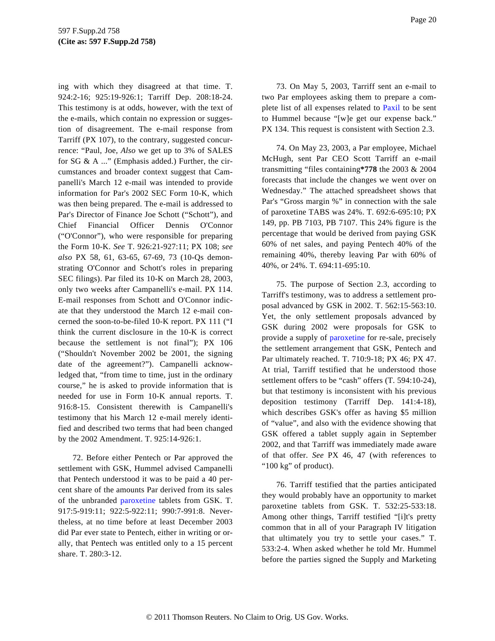ing with which they disagreed at that time. T. 924:2-16; 925:19-926:1; Tarriff Dep. 208:18-24. This testimony is at odds, however, with the text of the e-mails, which contain no expression or suggestion of disagreement. The e-mail response from Tarriff (PX 107), to the contrary, suggested concurrence: "Paul, Joe, *Also* we get up to 3% of SALES for SG & A ..." (Emphasis added.) Further, the circumstances and broader context suggest that Campanelli's March 12 e-mail was intended to provide information for Par's 2002 SEC Form 10-K, which was then being prepared. The e-mail is addressed to Par's Director of Finance Joe Schott ("Schott"), and Chief Financial Officer Dennis O'Connor ("O'Connor"), who were responsible for preparing the Form 10-K. *See* T. 926:21-927:11; PX 108; *see also* PX 58, 61, 63-65, 67-69, 73 (10-Qs demonstrating O'Connor and Schott's roles in preparing SEC filings). Par filed its 10-K on March 28, 2003, only two weeks after Campanelli's e-mail. PX 114. E-mail responses from Schott and O'Connor indicate that they understood the March 12 e-mail concerned the soon-to-be-filed 10-K report. PX 111 ("I think the current disclosure in the 10-K is correct because the settlement is not final"); PX 106 ("Shouldn't November 2002 be 2001, the signing date of the agreement?"). Campanelli acknowledged that, "from time to time, just in the ordinary course," he is asked to provide information that is needed for use in Form 10-K annual reports. T. 916:8-15. Consistent therewith is Campanelli's testimony that his March 12 e-mail merely identified and described two terms that had been changed by the 2002 Amendment. T. 925:14-926:1.

72. Before either Pentech or Par approved the settlement with GSK, Hummel advised Campanelli that Pentech understood it was to be paid a 40 percent share of the amounts Par derived from its sales of the unbranded [paroxetine](http://www.westlaw.com/Find/Default.wl?rs=dfa1.0&vr=2.0&CMD=ML&DocName=I3c1f514e475111db9765f9243f53508a&FindType=GD) tablets from GSK. T. 917:5-919:11; 922:5-922:11; 990:7-991:8. Nevertheless, at no time before at least December 2003 did Par ever state to Pentech, either in writing or orally, that Pentech was entitled only to a 15 percent share. T. 280:3-12.

73. On May 5, 2003, Tarriff sent an e-mail to two Par employees asking them to prepare a complete list of all expenses related to [Paxi](http://www.westlaw.com/Find/Default.wl?rs=dfa1.0&vr=2.0&CMD=ML&DocName=I37eacf5d475111db9765f9243f53508a&FindType=BD)l to be sent to Hummel because "[w]e get our expense back." PX 134. This request is consistent with Section 2.3.

74. On May 23, 2003, a Par employee, Michael McHugh, sent Par CEO Scott Tarriff an e-mail transmitting "files containing**\*778** the 2003 & 2004 forecasts that include the changes we went over on Wednesday." The attached spreadsheet shows that Par's "Gross margin %" in connection with the sale of paroxetine TABS was 24%. T. 692:6-695:10; PX 149, pp. PB 7103, PB 7107. This 24% figure is the percentage that would be derived from paying GSK 60% of net sales, and paying Pentech 40% of the remaining 40%, thereby leaving Par with 60% of 40%, or 24%. T. 694:11-695:10.

75. The purpose of Section 2.3, according to Tarriff's testimony, was to address a settlement proposal advanced by GSK in 2002. T. 562:15-563:10. Yet, the only settlement proposals advanced by GSK during 2002 were proposals for GSK to provide a supply of [paroxetine](http://www.westlaw.com/Find/Default.wl?rs=dfa1.0&vr=2.0&CMD=ML&DocName=I3c1f514e475111db9765f9243f53508a&FindType=GD) for re-sale, precisely the settlement arrangement that GSK, Pentech and Par ultimately reached. T. 710:9-18; PX 46; PX 47. At trial, Tarriff testified that he understood those settlement offers to be "cash" offers (T. 594:10-24), but that testimony is inconsistent with his previous deposition testimony (Tarriff Dep. 141:4-18), which describes GSK's offer as having \$5 million of "value", and also with the evidence showing that GSK offered a tablet supply again in September 2002, and that Tarriff was immediately made aware of that offer. *See* PX 46, 47 (with references to "100 kg" of product).

76. Tarriff testified that the parties anticipated they would probably have an opportunity to market paroxetine tablets from GSK. T. 532:25-533:18. Among other things, Tarriff testified "[i]t's pretty common that in all of your Paragraph IV litigation that ultimately you try to settle your cases." T. 533:2-4. When asked whether he told Mr. Hummel before the parties signed the Supply and Marketing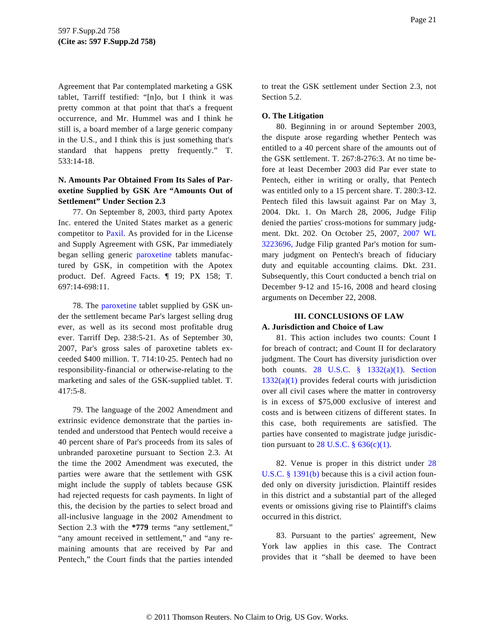Agreement that Par contemplated marketing a GSK tablet, Tarriff testified: "[n]o, but I think it was pretty common at that point that that's a frequent occurrence, and Mr. Hummel was and I think he still is, a board member of a large generic company in the U.S., and I think this is just something that's standard that happens pretty frequently." T. 533:14-18.

# **N. Amounts Par Obtained From Its Sales of Paroxetine Supplied by GSK Are "Amounts Out of Settlement" Under Section 2.3**

77. On September 8, 2003, third party Apotex Inc. entered the United States market as a generic competitor to [Paxil](http://www.westlaw.com/Find/Default.wl?rs=dfa1.0&vr=2.0&CMD=ML&DocName=I37eacf5d475111db9765f9243f53508a&FindType=BD). As provided for in the License and Supply Agreement with GSK, Par immediately began selling generic [paroxetine](http://www.westlaw.com/Find/Default.wl?rs=dfa1.0&vr=2.0&CMD=ML&DocName=I3c1f514e475111db9765f9243f53508a&FindType=GD) tablets manufactured by GSK, in competition with the Apotex product. Def. Agreed Facts. ¶ 19; PX 158; T. 697:14-698:11.

78. The [paroxetine](http://www.westlaw.com/Find/Default.wl?rs=dfa1.0&vr=2.0&CMD=ML&DocName=I3c1f514e475111db9765f9243f53508a&FindType=GD) tablet supplied by GSK under the settlement became Par's largest selling drug ever, as well as its second most profitable drug ever. Tarriff Dep. 238:5-21. As of September 30, 2007, Par's gross sales of paroxetine tablets exceeded \$400 million. T. 714:10-25. Pentech had no responsibility-financial or otherwise-relating to the marketing and sales of the GSK-supplied tablet. T. 417:5-8.

79. The language of the 2002 Amendment and extrinsic evidence demonstrate that the parties intended and understood that Pentech would receive a 40 percent share of Par's proceeds from its sales of unbranded paroxetine pursuant to Section 2.3. At the time the 2002 Amendment was executed, the parties were aware that the settlement with GSK might include the supply of tablets because GSK had rejected requests for cash payments. In light of this, the decision by the parties to select broad and all-inclusive language in the 2002 Amendment to Section 2.3 with the **\*779** terms "any settlement," "any amount received in settlement," and "any remaining amounts that are received by Par and Pentech," the Court finds that the parties intended to treat the GSK settlement under Section 2.3, not Section 5.2.

# **O. The Litigation**

80. Beginning in or around September 2003, the dispute arose regarding whether Pentech was entitled to a 40 percent share of the amounts out of the GSK settlement. T. 267:8-276:3. At no time before at least December 2003 did Par ever state to Pentech, either in writing or orally, that Pentech was entitled only to a 15 percent share. T. 280:3-12. Pentech filed this lawsuit against Par on May 3, 2004. Dkt. 1. On March 28, 2006, Judge Filip denied the parties' cross-motions for summary judgment. Dkt. 202. On October 25, 2007, [2007 WL](http://www.westlaw.com/Find/Default.wl?rs=dfa1.0&vr=2.0&DB=999&FindType=Y&SerialNum=2013909371) [3223696,](http://www.westlaw.com/Find/Default.wl?rs=dfa1.0&vr=2.0&DB=999&FindType=Y&SerialNum=2013909371) Judge Filip granted Par's motion for summary judgment on Pentech's breach of fiduciary duty and equitable accounting claims. Dkt. 231. Subsequently, this Court conducted a bench trial on December 9-12 and 15-16, 2008 and heard closing arguments on December 22, 2008.

# **III. CONCLUSIONS OF LAW A. Jurisdiction and Choice of Law**

81. This action includes two counts: Count I for breach of contract; and Count II for declaratory judgment. The Court has diversity jurisdiction over both counts. [28 U.S.C. § 1332\(a](http://www.westlaw.com/Find/Default.wl?rs=dfa1.0&vr=2.0&DB=1000546&DocName=28USCAS1332&FindType=L&ReferencePositionType=T&ReferencePosition=SP_7b9b000044381))(1). [Section](http://www.westlaw.com/Find/Default.wl?rs=dfa1.0&vr=2.0&DB=1000546&DocName=28USCAS1332&FindType=L&ReferencePositionType=T&ReferencePosition=SP_7b9b000044381) [1332\(a\)\(1\)](http://www.westlaw.com/Find/Default.wl?rs=dfa1.0&vr=2.0&DB=1000546&DocName=28USCAS1332&FindType=L&ReferencePositionType=T&ReferencePosition=SP_7b9b000044381) provides federal courts with jurisdiction over all civil cases where the matter in controversy is in excess of \$75,000 exclusive of interest and costs and is between citizens of different states. In this case, both requirements are satisfied. The parties have consented to magistrate judge jurisdiction pursuant to  $28$  U.S.C.  $\S$  636(c)(1).

82. Venue is proper in this district under [28](http://www.westlaw.com/Find/Default.wl?rs=dfa1.0&vr=2.0&DB=1000546&DocName=28USCAS1391&FindType=L&ReferencePositionType=T&ReferencePosition=SP_a83b000018c76) [U.S.C. § 1391\(b\)](http://www.westlaw.com/Find/Default.wl?rs=dfa1.0&vr=2.0&DB=1000546&DocName=28USCAS1391&FindType=L&ReferencePositionType=T&ReferencePosition=SP_a83b000018c76) because this is a civil action founded only on diversity jurisdiction. Plaintiff resides in this district and a substantial part of the alleged events or omissions giving rise to Plaintiff's claims occurred in this district.

83. Pursuant to the parties' agreement, New York law applies in this case. The Contract provides that it "shall be deemed to have been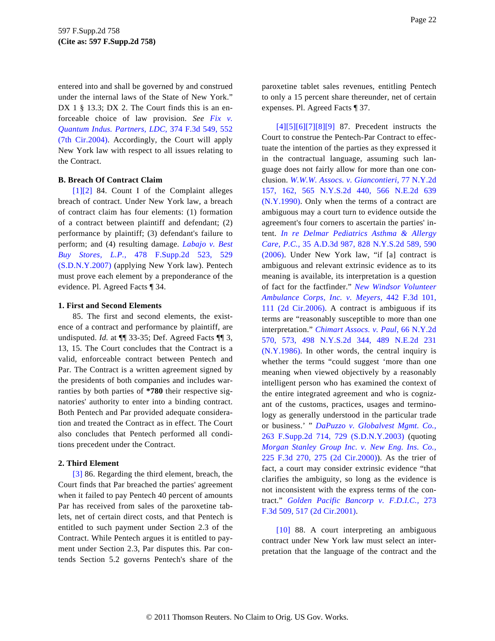<span id="page-21-2"></span>entered into and shall be governed by and construed under the internal laws of the State of New York." DX 1  $\S$  13.3; DX 2. The Court finds this is an enforceable choice of law provision. *See [Fix v](http://www.westlaw.com/Find/Default.wl?rs=dfa1.0&vr=2.0&DB=506&FindType=Y&ReferencePositionType=S&SerialNum=2004657471&ReferencePosition=552). [Quantum Indus. Partners, LDC](http://www.westlaw.com/Find/Default.wl?rs=dfa1.0&vr=2.0&DB=506&FindType=Y&ReferencePositionType=S&SerialNum=2004657471&ReferencePosition=552),* [374 F.3d 549, 552](http://www.westlaw.com/Find/Default.wl?rs=dfa1.0&vr=2.0&DB=506&FindType=Y&ReferencePositionType=S&SerialNum=2004657471&ReferencePosition=552) [\(7th Cir.2004](http://www.westlaw.com/Find/Default.wl?rs=dfa1.0&vr=2.0&DB=506&FindType=Y&ReferencePositionType=S&SerialNum=2004657471&ReferencePosition=552)). Accordingly, the Court will apply New York law with respect to all issues relating to the Contract.

# **B. Breach Of Contract Claim**

<span id="page-21-1"></span>[\[1\]](#page-0-0)[\[2\]](#page-0-1) 84. Count I of the Complaint alleges breach of contract. Under New York law, a breach of contract claim has four elements: (1) formation of a contract between plaintiff and defendant; (2) performance by plaintiff; (3) defendant's failure to perform; and (4) resulting damage. *[Labajo v. Bes](http://www.westlaw.com/Find/Default.wl?rs=dfa1.0&vr=2.0&DB=4637&FindType=Y&ReferencePositionType=S&SerialNum=2011685134&ReferencePosition=529)t [Buy Stores, L](http://www.westlaw.com/Find/Default.wl?rs=dfa1.0&vr=2.0&DB=4637&FindType=Y&ReferencePositionType=S&SerialNum=2011685134&ReferencePosition=529).P.,* [478 F.Supp.2d 523](http://www.westlaw.com/Find/Default.wl?rs=dfa1.0&vr=2.0&DB=4637&FindType=Y&ReferencePositionType=S&SerialNum=2011685134&ReferencePosition=529), 529 [\(S.D.N.Y.2007\)](http://www.westlaw.com/Find/Default.wl?rs=dfa1.0&vr=2.0&DB=4637&FindType=Y&ReferencePositionType=S&SerialNum=2011685134&ReferencePosition=529) (applying New York law). Pentech must prove each element by a preponderance of the evidence. Pl. Agreed Facts ¶ 34.

#### **1. First and Second Elements**

85. The first and second elements, the existence of a contract and performance by plaintiff, are undisputed. *Id.* at ¶¶ 33-35; Def. Agreed Facts ¶¶ 3, 13, 15. The Court concludes that the Contract is a valid, enforceable contract between Pentech and Par. The Contract is a written agreement signed by the presidents of both companies and includes warranties by both parties of **\*780** their respective signatories' authority to enter into a binding contract. Both Pentech and Par provided adequate consideration and treated the Contract as in effect. The Court also concludes that Pentech performed all conditions precedent under the Contract.

## <span id="page-21-0"></span>**2. Third Element**

<span id="page-21-3"></span>[\[3\]](#page-0-2) 86. Regarding the third element, breach, the Court finds that Par breached the parties' agreement when it failed to pay Pentech 40 percent of amounts Par has received from sales of the paroxetine tablets, net of certain direct costs, and that Pentech is entitled to such payment under Section 2.3 of the Contract. While Pentech argues it is entitled to payment under Section 2.3, Par disputes this. Par contends Section 5.2 governs Pentech's share of the

paroxetine tablet sales revenues, entitling Pentech to only a 15 percent share thereunder, net of certain expenses. Pl. Agreed Facts ¶ 37.

 $[4][5][6][7][8][9]$  $[4][5][6][7][8][9]$  $[4][5][6][7][8][9]$  $[4][5][6][7][8][9]$  [87. Preceden](#page-1-4)t instructs the Court to construe the Pentech-Par Contract to effectuate the intention of the parties as they expressed it in the contractual language, assuming such language does not fairly allow for more than one conclusion. *[W.W.W. Assocs. v. Giancontieri,](http://www.westlaw.com/Find/Default.wl?rs=dfa1.0&vr=2.0&DB=578&FindType=Y&SerialNum=1991015553)* 77 N.Y.2d [157, 162, 565 N.Y.S.2d 440, 566 N.E.2](http://www.westlaw.com/Find/Default.wl?rs=dfa1.0&vr=2.0&DB=578&FindType=Y&SerialNum=1991015553)d 639 [\(N.Y.1990\).](http://www.westlaw.com/Find/Default.wl?rs=dfa1.0&vr=2.0&DB=578&FindType=Y&SerialNum=1991015553) Only when the terms of a contract are ambiguous may a court turn to evidence outside the agreement's four corners to ascertain the parties' intent. *[In re Delmar Pediatrics Asthma & Alle](http://www.westlaw.com/Find/Default.wl?rs=dfa1.0&vr=2.0&DB=602&FindType=Y&ReferencePositionType=S&SerialNum=2010894133&ReferencePosition=590)rgy [Care, P.C.](http://www.westlaw.com/Find/Default.wl?rs=dfa1.0&vr=2.0&DB=602&FindType=Y&ReferencePositionType=S&SerialNum=2010894133&ReferencePosition=590),* [35 A.D.3d 987, 828 N.Y.S.2d 589, 590](http://www.westlaw.com/Find/Default.wl?rs=dfa1.0&vr=2.0&DB=602&FindType=Y&ReferencePositionType=S&SerialNum=2010894133&ReferencePosition=590) [\(2006\).](http://www.westlaw.com/Find/Default.wl?rs=dfa1.0&vr=2.0&DB=602&FindType=Y&ReferencePositionType=S&SerialNum=2010894133&ReferencePosition=590) Under New York law, "if [a] contract is ambiguous and relevant extrinsic evidence as to its meaning is available, its interpretation is a question of fact for the factfinder." *[New Windsor Volunteer](http://www.westlaw.com/Find/Default.wl?rs=dfa1.0&vr=2.0&DB=506&FindType=Y&ReferencePositionType=S&SerialNum=2008771341&ReferencePosition=111) [Ambulance Corps, Inc. v. Meye](http://www.westlaw.com/Find/Default.wl?rs=dfa1.0&vr=2.0&DB=506&FindType=Y&ReferencePositionType=S&SerialNum=2008771341&ReferencePosition=111)rs,* [442 F.3d 101](http://www.westlaw.com/Find/Default.wl?rs=dfa1.0&vr=2.0&DB=506&FindType=Y&ReferencePositionType=S&SerialNum=2008771341&ReferencePosition=111), [111 \(2d Cir.2006](http://www.westlaw.com/Find/Default.wl?rs=dfa1.0&vr=2.0&DB=506&FindType=Y&ReferencePositionType=S&SerialNum=2008771341&ReferencePosition=111)). A contract is ambiguous if its terms are "reasonably susceptible to more than one interpretation." *[Chimart Assocs. v. Paul](http://www.westlaw.com/Find/Default.wl?rs=dfa1.0&vr=2.0&DB=578&FindType=Y&SerialNum=1986104256),* [66 N.Y.2d](http://www.westlaw.com/Find/Default.wl?rs=dfa1.0&vr=2.0&DB=578&FindType=Y&SerialNum=1986104256) [570, 573, 498 N.Y.S.2d 344, 489 N.E.2](http://www.westlaw.com/Find/Default.wl?rs=dfa1.0&vr=2.0&DB=578&FindType=Y&SerialNum=1986104256)d 231 [\(N.Y.1986\).](http://www.westlaw.com/Find/Default.wl?rs=dfa1.0&vr=2.0&DB=578&FindType=Y&SerialNum=1986104256) In other words, the central inquiry is whether the terms "could suggest 'more than one meaning when viewed objectively by a reasonably intelligent person who has examined the context of the entire integrated agreement and who is cognizant of the customs, practices, usages and terminology as generally understood in the particular trade or business.' " *[DaPuzzo v. Globalvest Mgmt. Co.](http://www.westlaw.com/Find/Default.wl?rs=dfa1.0&vr=2.0&DB=4637&FindType=Y&ReferencePositionType=S&SerialNum=2003428500&ReferencePosition=729),* [263 F.Supp.2d 714, 729 \(S.D.N.Y.200](http://www.westlaw.com/Find/Default.wl?rs=dfa1.0&vr=2.0&DB=4637&FindType=Y&ReferencePositionType=S&SerialNum=2003428500&ReferencePosition=729)3) (quoting *[Morgan Stanley Group Inc. v. New Eng. Ins. Co.](http://www.westlaw.com/Find/Default.wl?rs=dfa1.0&vr=2.0&DB=506&FindType=Y&ReferencePositionType=S&SerialNum=2000517144&ReferencePosition=275),* [225 F.3d 270, 275 \(2d Cir.200](http://www.westlaw.com/Find/Default.wl?rs=dfa1.0&vr=2.0&DB=506&FindType=Y&ReferencePositionType=S&SerialNum=2000517144&ReferencePosition=275)0)). As the trier of fact, a court may consider extrinsic evidence "that clarifies the ambiguity, so long as the evidence is not inconsistent with the express terms of the contract." *[Golden Pacific Bancorp v. F.D.I.C.,](http://www.westlaw.com/Find/Default.wl?rs=dfa1.0&vr=2.0&DB=506&FindType=Y&ReferencePositionType=S&SerialNum=2001516105&ReferencePosition=517)* 273 [F.3d 509, 517 \(2d Cir.2001\)](http://www.westlaw.com/Find/Default.wl?rs=dfa1.0&vr=2.0&DB=506&FindType=Y&ReferencePositionType=S&SerialNum=2001516105&ReferencePosition=517).

[\[10\]](#page-1-5) 88. A court interpreting an ambiguous contract under New York law must select an interpretation that the language of the contract and the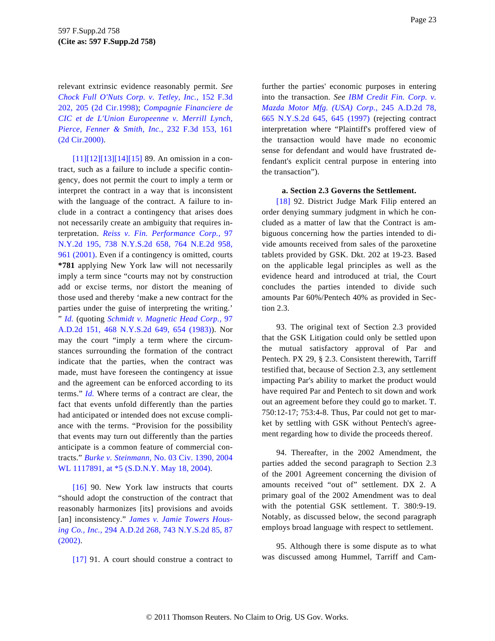relevant extrinsic evidence reasonably permit. *See [Chock Full O'Nuts Corp. v. Tetley, In](http://www.westlaw.com/Find/Default.wl?rs=dfa1.0&vr=2.0&DB=506&FindType=Y&ReferencePositionType=S&SerialNum=1998172966&ReferencePosition=205)c.,* [152 F.3d](http://www.westlaw.com/Find/Default.wl?rs=dfa1.0&vr=2.0&DB=506&FindType=Y&ReferencePositionType=S&SerialNum=1998172966&ReferencePosition=205) [202, 205 \(2d Cir.1998](http://www.westlaw.com/Find/Default.wl?rs=dfa1.0&vr=2.0&DB=506&FindType=Y&ReferencePositionType=S&SerialNum=1998172966&ReferencePosition=205)); *[Compagnie Financiere de](http://www.westlaw.com/Find/Default.wl?rs=dfa1.0&vr=2.0&DB=506&FindType=Y&ReferencePositionType=S&SerialNum=2000613146&ReferencePosition=161) [CIC et de L'Union Europeenne v. Merrill Lyn](http://www.westlaw.com/Find/Default.wl?rs=dfa1.0&vr=2.0&DB=506&FindType=Y&ReferencePositionType=S&SerialNum=2000613146&ReferencePosition=161)ch, [Pierce, Fenner & Smith, In](http://www.westlaw.com/Find/Default.wl?rs=dfa1.0&vr=2.0&DB=506&FindType=Y&ReferencePositionType=S&SerialNum=2000613146&ReferencePosition=161)c.,* [232 F.3d 153, 16](http://www.westlaw.com/Find/Default.wl?rs=dfa1.0&vr=2.0&DB=506&FindType=Y&ReferencePositionType=S&SerialNum=2000613146&ReferencePosition=161)1 [\(2d Cir.2000\)](http://www.westlaw.com/Find/Default.wl?rs=dfa1.0&vr=2.0&DB=506&FindType=Y&ReferencePositionType=S&SerialNum=2000613146&ReferencePosition=161).

<span id="page-22-1"></span><span id="page-22-0"></span> $[11][12][13][14][15]$  $[11][12][13][14][15]$  $[11][12][13][14][15]$  [89. An omission](#page-2-3) in a contract, such as a failure to include a specific contingency, does not permit the court to imply a term or interpret the contract in a way that is inconsistent with the language of the contract. A failure to include in a contract a contingency that arises does not necessarily create an ambiguity that requires interpretation. *[Reiss v. Fin. Performance Corp.,](http://www.westlaw.com/Find/Default.wl?rs=dfa1.0&vr=2.0&DB=578&FindType=Y&ReferencePositionType=S&SerialNum=2001589654&ReferencePosition=961)* 97 [N.Y.2d 195, 738 N.Y.S.2d 658, 764 N.E.2d 9](http://www.westlaw.com/Find/Default.wl?rs=dfa1.0&vr=2.0&DB=578&FindType=Y&ReferencePositionType=S&SerialNum=2001589654&ReferencePosition=961)58, [961 \(2001\)](http://www.westlaw.com/Find/Default.wl?rs=dfa1.0&vr=2.0&DB=578&FindType=Y&ReferencePositionType=S&SerialNum=2001589654&ReferencePosition=961). Even if a contingency is omitted, courts **\*781** applying New York law will not necessarily imply a term since "courts may not by construction add or excise terms, nor distort the meaning of those used and thereby 'make a new contract for the parties under the guise of interpreting the writing.' " *[Id.](http://www.westlaw.com/Find/Default.wl?rs=dfa1.0&vr=2.0&FindType=Y&SerialNum=2001589654)* (quoting *[Schmidt v. Magnetic Head Corp.,](http://www.westlaw.com/Find/Default.wl?rs=dfa1.0&vr=2.0&DB=602&FindType=Y&ReferencePositionType=S&SerialNum=1983152105&ReferencePosition=654)* 97 [A.D.2d 151, 468 N.Y.S.2d 649, 654 \(198](http://www.westlaw.com/Find/Default.wl?rs=dfa1.0&vr=2.0&DB=602&FindType=Y&ReferencePositionType=S&SerialNum=1983152105&ReferencePosition=654)3)). Nor may the court "imply a term where the circumstances surrounding the formation of the contract indicate that the parties, when the contract was made, must have foreseen the contingency at issue and the agreement can be enforced according to its terms." *[Id](http://www.westlaw.com/Find/Default.wl?rs=dfa1.0&vr=2.0&FindType=Y&SerialNum=2001589654).* Where terms of a contract are clear, the fact that events unfold differently than the parties had anticipated or intended does not excuse compliance with the terms. "Provision for the possibility that events may turn out differently than the parties anticipate is a common feature of commercial contracts." *[Burke v. Steinmann](http://www.westlaw.com/Find/Default.wl?rs=dfa1.0&vr=2.0&DB=0000999&FindType=Y&SerialNum=2004493171),* [No. 03 Civ. 1390, 2004](http://www.westlaw.com/Find/Default.wl?rs=dfa1.0&vr=2.0&DB=0000999&FindType=Y&SerialNum=2004493171) [WL 1117891, at \\*5 \(S.D.N.Y. May 18, 2004\)](http://www.westlaw.com/Find/Default.wl?rs=dfa1.0&vr=2.0&DB=0000999&FindType=Y&SerialNum=2004493171).

<span id="page-22-2"></span>[\[16\]](#page-2-4) 90. New York law instructs that courts "should adopt the construction of the contract that reasonably harmonizes [its] provisions and avoids [an] inconsistency." *[James v. Jamie Towers Hous](http://www.westlaw.com/Find/Default.wl?rs=dfa1.0&vr=2.0&DB=602&FindType=Y&ReferencePositionType=S&SerialNum=2002336078&ReferencePosition=87)[ing Co., Inc.](http://www.westlaw.com/Find/Default.wl?rs=dfa1.0&vr=2.0&DB=602&FindType=Y&ReferencePositionType=S&SerialNum=2002336078&ReferencePosition=87),* [294 A.D.2d 268, 743 N.Y.S.2d 85, 87](http://www.westlaw.com/Find/Default.wl?rs=dfa1.0&vr=2.0&DB=602&FindType=Y&ReferencePositionType=S&SerialNum=2002336078&ReferencePosition=87) [\(2002\).](http://www.westlaw.com/Find/Default.wl?rs=dfa1.0&vr=2.0&DB=602&FindType=Y&ReferencePositionType=S&SerialNum=2002336078&ReferencePosition=87)

<span id="page-22-3"></span>[\[17\]](#page-3-0) 91. A court should construe a contract to

further the parties' economic purposes in entering into the transaction. *See [IBM Credit Fin. Corp. v](http://www.westlaw.com/Find/Default.wl?rs=dfa1.0&vr=2.0&DB=602&FindType=Y&ReferencePositionType=S&SerialNum=1997240203&ReferencePosition=645). [Mazda Motor Mfg. \(USA\) Cor](http://www.westlaw.com/Find/Default.wl?rs=dfa1.0&vr=2.0&DB=602&FindType=Y&ReferencePositionType=S&SerialNum=1997240203&ReferencePosition=645)p.,* [245 A.D.2d 78](http://www.westlaw.com/Find/Default.wl?rs=dfa1.0&vr=2.0&DB=602&FindType=Y&ReferencePositionType=S&SerialNum=1997240203&ReferencePosition=645), [665 N.Y.S.2d 645, 645 \(199](http://www.westlaw.com/Find/Default.wl?rs=dfa1.0&vr=2.0&DB=602&FindType=Y&ReferencePositionType=S&SerialNum=1997240203&ReferencePosition=645)7) (rejecting contract interpretation where "Plaintiff's proffered view of the transaction would have made no economic sense for defendant and would have frustrated defendant's explicit central purpose in entering into the transaction").

## **a. Section 2.3 Governs the Settlement.**

[\[18\]](#page-3-1) 92. District Judge Mark Filip entered an order denying summary judgment in which he concluded as a matter of law that the Contract is ambiguous concerning how the parties intended to divide amounts received from sales of the paroxetine tablets provided by GSK. Dkt. 202 at 19-23. Based on the applicable legal principles as well as the evidence heard and introduced at trial, the Court concludes the parties intended to divide such amounts Par 60%/Pentech 40% as provided in Section 2.3.

93. The original text of Section 2.3 provided that the GSK Litigation could only be settled upon the mutual satisfactory approval of Par and Pentech. PX 29, § 2.3. Consistent therewith, Tarriff testified that, because of Section 2.3, any settlement impacting Par's ability to market the product would have required Par and Pentech to sit down and work out an agreement before they could go to market. T. 750:12-17; 753:4-8. Thus, Par could not get to market by settling with GSK without Pentech's agreement regarding how to divide the proceeds thereof.

94. Thereafter, in the 2002 Amendment, the parties added the second paragraph to Section 2.3 of the 2001 Agreement concerning the division of amounts received "out of" settlement. DX 2. A primary goal of the 2002 Amendment was to deal with the potential GSK settlement. T. 380:9-19. Notably, as discussed below, the second paragraph employs broad language with respect to settlement.

95. Although there is some dispute as to what was discussed among Hummel, Tarriff and Cam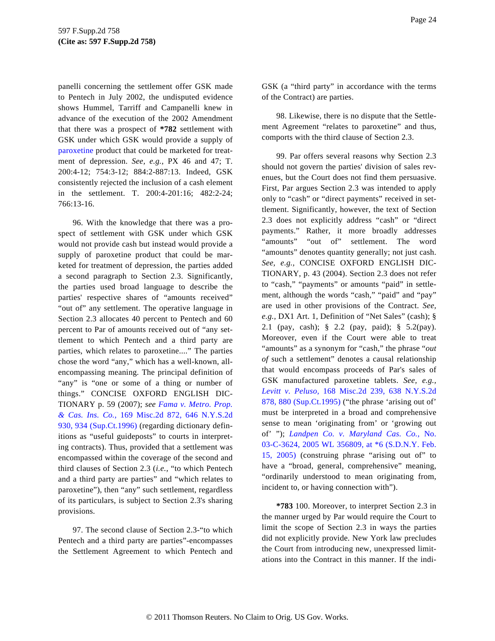panelli concerning the settlement offer GSK made to Pentech in July 2002, the undisputed evidence shows Hummel, Tarriff and Campanelli knew in advance of the execution of the 2002 Amendment that there was a prospect of **\*782** settlement with GSK under which GSK would provide a supply of [paroxetine](http://www.westlaw.com/Find/Default.wl?rs=dfa1.0&vr=2.0&CMD=ML&DocName=I3c1f514e475111db9765f9243f53508a&FindType=GD) product that could be marketed for treatment of depression. *See, e.g.,* PX 46 and 47; T. 200:4-12; 754:3-12; 884:2-887:13. Indeed, GSK consistently rejected the inclusion of a cash element in the settlement. T. 200:4-201:16; 482:2-24; 766:13-16.

96. With the knowledge that there was a prospect of settlement with GSK under which GSK would not provide cash but instead would provide a supply of paroxetine product that could be marketed for treatment of depression, the parties added a second paragraph to Section 2.3. Significantly, the parties used broad language to describe the parties' respective shares of "amounts received" "out of" any settlement. The operative language in Section 2.3 allocates 40 percent to Pentech and 60 percent to Par of amounts received out of "any settlement to which Pentech and a third party are parties, which relates to paroxetine...." The parties chose the word "any," which has a well-known, allencompassing meaning. The principal definition of "any" is "one or some of a thing or number of things." CONCISE OXFORD ENGLISH DIC-TIONARY p. 59 (2007); *see [Fama v. Metro. Prop.](http://www.westlaw.com/Find/Default.wl?rs=dfa1.0&vr=2.0&DB=602&FindType=Y&ReferencePositionType=S&SerialNum=1996192596&ReferencePosition=934) [& Cas. Ins. Co](http://www.westlaw.com/Find/Default.wl?rs=dfa1.0&vr=2.0&DB=602&FindType=Y&ReferencePositionType=S&SerialNum=1996192596&ReferencePosition=934).,* [169 Misc.2d 872, 646 N.Y.S.2](http://www.westlaw.com/Find/Default.wl?rs=dfa1.0&vr=2.0&DB=602&FindType=Y&ReferencePositionType=S&SerialNum=1996192596&ReferencePosition=934)d [930, 934 \(Sup.Ct.1996\)](http://www.westlaw.com/Find/Default.wl?rs=dfa1.0&vr=2.0&DB=602&FindType=Y&ReferencePositionType=S&SerialNum=1996192596&ReferencePosition=934) (regarding dictionary definitions as "useful guideposts" to courts in interpreting contracts). Thus, provided that a settlement was encompassed within the coverage of the second and third clauses of Section 2.3 (*i.e.,* "to which Pentech and a third party are parties" and "which relates to paroxetine"), then "any" such settlement, regardless of its particulars, is subject to Section 2.3's sharing provisions.

97. The second clause of Section 2.3-"to which Pentech and a third party are parties"-encompasses the Settlement Agreement to which Pentech and GSK (a "third party" in accordance with the terms of the Contract) are parties.

98. Likewise, there is no dispute that the Settlement Agreement "relates to paroxetine" and thus, comports with the third clause of Section 2.3.

99. Par offers several reasons why Section 2.3 should not govern the parties' division of sales revenues, but the Court does not find them persuasive. First, Par argues Section 2.3 was intended to apply only to "cash" or "direct payments" received in settlement. Significantly, however, the text of Section 2.3 does not explicitly address "cash" or "direct payments." Rather, it more broadly addresses "amounts" "out of" settlement. The word "amounts" denotes quantity generally; not just cash. *See, e.g.,* CONCISE OXFORD ENGLISH DIC-TIONARY, p. 43 (2004). Section 2.3 does not refer to "cash," "payments" or amounts "paid" in settlement, although the words "cash," "paid" and "pay" are used in other provisions of the Contract. *See, e.g.,* DX1 Art. 1, Definition of "Net Sales" (cash); § 2.1 (pay, cash); § 2.2 (pay, paid); § 5.2(pay). Moreover, even if the Court were able to treat "amounts" as a synonym for "cash," the phrase "*out of* such a settlement" denotes a causal relationship that would encompass proceeds of Par's sales of GSK manufactured paroxetine tablets. *See, e.g., [Levitt v. Peluso](http://www.westlaw.com/Find/Default.wl?rs=dfa1.0&vr=2.0&DB=602&FindType=Y&ReferencePositionType=S&SerialNum=1996068062&ReferencePosition=880),* [168 Misc.2d 239, 638 N.Y.S.](http://www.westlaw.com/Find/Default.wl?rs=dfa1.0&vr=2.0&DB=602&FindType=Y&ReferencePositionType=S&SerialNum=1996068062&ReferencePosition=880)2d [878, 880 \(Sup.Ct.1995\)](http://www.westlaw.com/Find/Default.wl?rs=dfa1.0&vr=2.0&DB=602&FindType=Y&ReferencePositionType=S&SerialNum=1996068062&ReferencePosition=880) ("the phrase 'arising out of' must be interpreted in a broad and comprehensive sense to mean 'originating from' or 'growing out of' "); *[Landpen Co. v. Maryland Cas. Co.,](http://www.westlaw.com/Find/Default.wl?rs=dfa1.0&vr=2.0&DB=0000999&FindType=Y&SerialNum=2006238182)* No. [03-C-3624, 2005 WL 356809, at \\*6 \(S.D.N.Y. Feb](http://www.westlaw.com/Find/Default.wl?rs=dfa1.0&vr=2.0&DB=0000999&FindType=Y&SerialNum=2006238182). [15, 2005](http://www.westlaw.com/Find/Default.wl?rs=dfa1.0&vr=2.0&DB=0000999&FindType=Y&SerialNum=2006238182)) (construing phrase "arising out of" to have a "broad, general, comprehensive" meaning, "ordinarily understood to mean originating from, incident to, or having connection with").

**\*783** 100. Moreover, to interpret Section 2.3 in the manner urged by Par would require the Court to limit the scope of Section 2.3 in ways the parties did not explicitly provide. New York law precludes the Court from introducing new, unexpressed limitations into the Contract in this manner. If the indi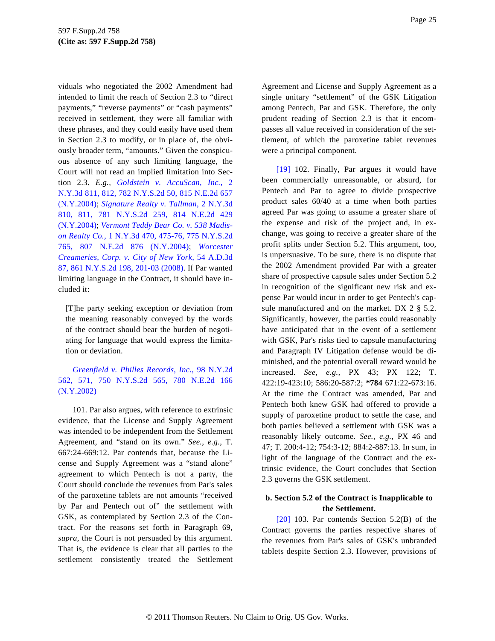<span id="page-24-0"></span>viduals who negotiated the 2002 Amendment had intended to limit the reach of Section 2.3 to "direct payments," "reverse payments" or "cash payments" received in settlement, they were all familiar with these phrases, and they could easily have used them in Section 2.3 to modify, or in place of, the obviously broader term, "amounts." Given the conspicuous absence of any such limiting language, the Court will not read an implied limitation into Section 2.3. *E.g., [Goldstein v. AccuScan, Inc.,](http://www.westlaw.com/Find/Default.wl?rs=dfa1.0&vr=2.0&DB=578&FindType=Y&SerialNum=2004542658)* 2 [N.Y.3d 811, 812, 782 N.Y.S.2d 50, 815 N.E.2d 657](http://www.westlaw.com/Find/Default.wl?rs=dfa1.0&vr=2.0&DB=578&FindType=Y&SerialNum=2004542658) [\(N.Y.2004\);](http://www.westlaw.com/Find/Default.wl?rs=dfa1.0&vr=2.0&DB=578&FindType=Y&SerialNum=2004542658) *[Signature Realty v. Tallman,](http://www.westlaw.com/Find/Default.wl?rs=dfa1.0&vr=2.0&DB=578&FindType=Y&SerialNum=2004542663)* 2 N.Y.3d [810, 811, 781 N.Y.S.2d 259, 814 N.E.2](http://www.westlaw.com/Find/Default.wl?rs=dfa1.0&vr=2.0&DB=578&FindType=Y&SerialNum=2004542663)d 429 [\(N.Y.2004\);](http://www.westlaw.com/Find/Default.wl?rs=dfa1.0&vr=2.0&DB=578&FindType=Y&SerialNum=2004542663) *[Vermont Teddy Bear Co. v. 538 Madis](http://www.westlaw.com/Find/Default.wl?rs=dfa1.0&vr=2.0&DB=578&FindType=Y&SerialNum=2004251980)[on Realty Co.,](http://www.westlaw.com/Find/Default.wl?rs=dfa1.0&vr=2.0&DB=578&FindType=Y&SerialNum=2004251980)* [1 N.Y.3d 470, 475-76, 775 N.Y.S.2d](http://www.westlaw.com/Find/Default.wl?rs=dfa1.0&vr=2.0&DB=578&FindType=Y&SerialNum=2004251980) [765, 807 N.E.2d 876 \(N.Y](http://www.westlaw.com/Find/Default.wl?rs=dfa1.0&vr=2.0&DB=578&FindType=Y&SerialNum=2004251980).2004); *[Worcester](http://www.westlaw.com/Find/Default.wl?rs=dfa1.0&vr=2.0&DB=602&FindType=Y&ReferencePositionType=S&SerialNum=2016454075&ReferencePosition=201) [Creameries, Corp. v. City of New Yor](http://www.westlaw.com/Find/Default.wl?rs=dfa1.0&vr=2.0&DB=602&FindType=Y&ReferencePositionType=S&SerialNum=2016454075&ReferencePosition=201)k,* [54 A.D.3d](http://www.westlaw.com/Find/Default.wl?rs=dfa1.0&vr=2.0&DB=602&FindType=Y&ReferencePositionType=S&SerialNum=2016454075&ReferencePosition=201) [87, 861 N.Y.S.2d 198, 201-03 \(2008\)](http://www.westlaw.com/Find/Default.wl?rs=dfa1.0&vr=2.0&DB=602&FindType=Y&ReferencePositionType=S&SerialNum=2016454075&ReferencePosition=201). If Par wanted limiting language in the Contract, it should have included it:

[T]he party seeking exception or deviation from the meaning reasonably conveyed by the words of the contract should bear the burden of negotiating for language that would express the limitation or deviation.

*[Greenfield v. Philles Records, Inc](http://www.westlaw.com/Find/Default.wl?rs=dfa1.0&vr=2.0&DB=578&FindType=Y&SerialNum=2002657233).,* [98 N.Y.2d](http://www.westlaw.com/Find/Default.wl?rs=dfa1.0&vr=2.0&DB=578&FindType=Y&SerialNum=2002657233) [562, 571, 750 N.Y.S.2d 565, 780 N.E.2](http://www.westlaw.com/Find/Default.wl?rs=dfa1.0&vr=2.0&DB=578&FindType=Y&SerialNum=2002657233)d 166 [\(N.Y.2002\)](http://www.westlaw.com/Find/Default.wl?rs=dfa1.0&vr=2.0&DB=578&FindType=Y&SerialNum=2002657233)

<span id="page-24-1"></span>101. Par also argues, with reference to extrinsic evidence, that the License and Supply Agreement was intended to be independent from the Settlement Agreement, and "stand on its own." *See., e.g.,* T. 667:24-669:12. Par contends that, because the License and Supply Agreement was a "stand alone" agreement to which Pentech is not a party, the Court should conclude the revenues from Par's sales of the paroxetine tablets are not amounts "received by Par and Pentech out of" the settlement with GSK, as contemplated by Section 2.3 of the Contract. For the reasons set forth in Paragraph 69, *supra,* the Court is not persuaded by this argument. That is, the evidence is clear that all parties to the settlement consistently treated the Settlement Agreement and License and Supply Agreement as a single unitary "settlement" of the GSK Litigation among Pentech, Par and GSK. Therefore, the only prudent reading of Section 2.3 is that it encompasses all value received in consideration of the settlement, of which the paroxetine tablet revenues were a principal component.

[\[19\]](#page-3-2) 102. Finally, Par argues it would have been commercially unreasonable, or absurd, for Pentech and Par to agree to divide prospective product sales 60/40 at a time when both parties agreed Par was going to assume a greater share of the expense and risk of the project and, in exchange, was going to receive a greater share of the profit splits under Section 5.2. This argument, too, is unpersuasive. To be sure, there is no dispute that the 2002 Amendment provided Par with a greater share of prospective capsule sales under Section 5.2 in recognition of the significant new risk and expense Par would incur in order to get Pentech's capsule manufactured and on the market. DX 2 § 5.2. Significantly, however, the parties could reasonably have anticipated that in the event of a settlement with GSK, Par's risks tied to capsule manufacturing and Paragraph IV Litigation defense would be diminished, and the potential overall reward would be increased. *See, e.g.,* PX 43; PX 122; T. 422:19-423:10; 586:20-587:2; **\*784** 671:22-673:16. At the time the Contract was amended, Par and Pentech both knew GSK had offered to provide a supply of paroxetine product to settle the case, and both parties believed a settlement with GSK was a reasonably likely outcome. *See., e.g.,* PX 46 and 47; T. 200:4-12; 754:3-12; 884:2-887:13. In sum, in light of the language of the Contract and the extrinsic evidence, the Court concludes that Section 2.3 governs the GSK settlement.

# **b. Section 5.2 of the Contract is Inapplicable to the Settlement.**

[\[20\]](#page-3-3) 103. Par contends Section 5.2(B) of the Contract governs the parties respective shares of the revenues from Par's sales of GSK's unbranded tablets despite Section 2.3. However, provisions of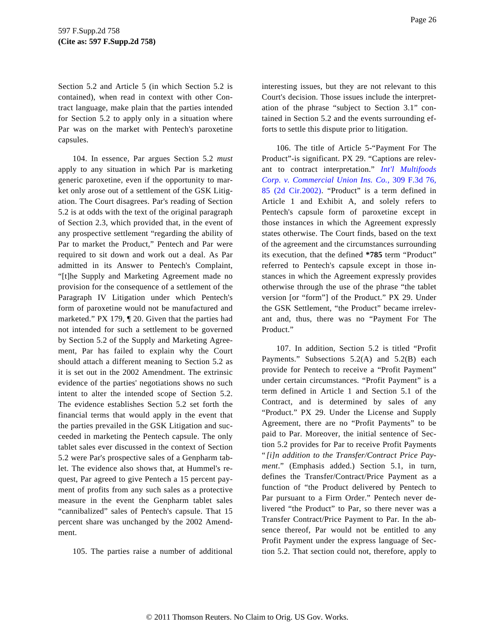Section 5.2 and Article 5 (in which Section 5.2 is contained), when read in context with other Contract language, make plain that the parties intended for Section 5.2 to apply only in a situation where Par was on the market with Pentech's paroxetine capsules.

104. In essence, Par argues Section 5.2 *must* apply to any situation in which Par is marketing generic paroxetine, even if the opportunity to market only arose out of a settlement of the GSK Litigation. The Court disagrees. Par's reading of Section 5.2 is at odds with the text of the original paragraph of Section 2.3, which provided that, in the event of any prospective settlement "regarding the ability of Par to market the Product," Pentech and Par were required to sit down and work out a deal. As Par admitted in its Answer to Pentech's Complaint, "[t]he Supply and Marketing Agreement made no provision for the consequence of a settlement of the Paragraph IV Litigation under which Pentech's form of paroxetine would not be manufactured and marketed." PX 179, ¶ 20. Given that the parties had not intended for such a settlement to be governed by Section 5.2 of the Supply and Marketing Agreement, Par has failed to explain why the Court should attach a different meaning to Section 5.2 as it is set out in the 2002 Amendment. The extrinsic evidence of the parties' negotiations shows no such intent to alter the intended scope of Section 5.2. The evidence establishes Section 5.2 set forth the financial terms that would apply in the event that the parties prevailed in the GSK Litigation and succeeded in marketing the Pentech capsule. The only tablet sales ever discussed in the context of Section 5.2 were Par's prospective sales of a Genpharm tablet. The evidence also shows that, at Hummel's request, Par agreed to give Pentech a 15 percent payment of profits from any such sales as a protective measure in the event the Genpharm tablet sales "cannibalized" sales of Pentech's capsule. That 15 percent share was unchanged by the 2002 Amendment.

105. The parties raise a number of additional

interesting issues, but they are not relevant to this Court's decision. Those issues include the interpretation of the phrase "subject to Section 3.1" contained in Section 5.2 and the events surrounding efforts to settle this dispute prior to litigation.

106. The title of Article 5-"Payment For The Product"-is significant. PX 29. "Captions are relevant to contract interpretation." *[Int'l Multifood](http://www.westlaw.com/Find/Default.wl?rs=dfa1.0&vr=2.0&DB=506&FindType=Y&ReferencePositionType=S&SerialNum=2002657498&ReferencePosition=85)s [Corp. v. Commercial Union Ins. Co](http://www.westlaw.com/Find/Default.wl?rs=dfa1.0&vr=2.0&DB=506&FindType=Y&ReferencePositionType=S&SerialNum=2002657498&ReferencePosition=85).,* [309 F.3d 76](http://www.westlaw.com/Find/Default.wl?rs=dfa1.0&vr=2.0&DB=506&FindType=Y&ReferencePositionType=S&SerialNum=2002657498&ReferencePosition=85), [85 \(2d Cir.2002](http://www.westlaw.com/Find/Default.wl?rs=dfa1.0&vr=2.0&DB=506&FindType=Y&ReferencePositionType=S&SerialNum=2002657498&ReferencePosition=85)). "Product" is a term defined in Article 1 and Exhibit A, and solely refers to Pentech's capsule form of paroxetine except in those instances in which the Agreement expressly states otherwise. The Court finds, based on the text of the agreement and the circumstances surrounding its execution, that the defined **\*785** term "Product" referred to Pentech's capsule except in those instances in which the Agreement expressly provides otherwise through the use of the phrase "the tablet version [or "form"] of the Product." PX 29. Under the GSK Settlement, "the Product" became irrelevant and, thus, there was no "Payment For The Product."

107. In addition, Section 5.2 is titled "Profit Payments." Subsections 5.2(A) and 5.2(B) each provide for Pentech to receive a "Profit Payment" under certain circumstances. "Profit Payment" is a term defined in Article 1 and Section 5.1 of the Contract, and is determined by sales of any "Product." PX 29. Under the License and Supply Agreement, there are no "Profit Payments" to be paid to Par. Moreover, the initial sentence of Section 5.2 provides for Par to receive Profit Payments " *[i]n addition to the Transfer/Contract Price Payment*." (Emphasis added.) Section 5.1, in turn, defines the Transfer/Contract/Price Payment as a function of "the Product delivered by Pentech to Par pursuant to a Firm Order." Pentech never delivered "the Product" to Par, so there never was a Transfer Contract/Price Payment to Par. In the absence thereof, Par would not be entitled to any Profit Payment under the express language of Section 5.2. That section could not, therefore, apply to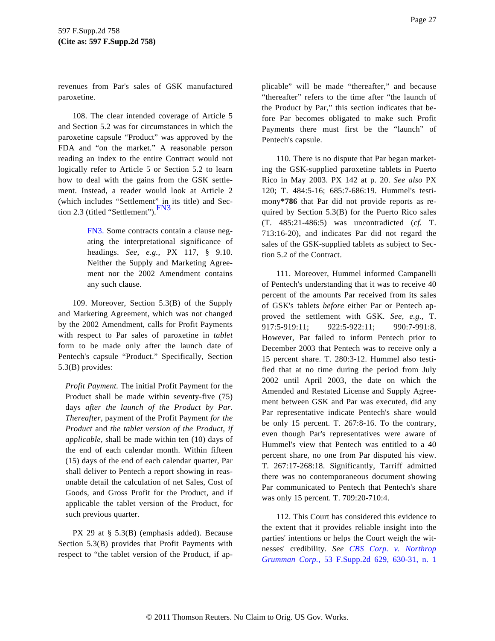revenues from Par's sales of GSK manufactured paroxetine.

108. The clear intended coverage of Article 5 and Section 5.2 was for circumstances in which the paroxetine capsule "Product" was approved by the FDA and "on the market." A reasonable person reading an index to the entire Contract would not logically refer to Article 5 or Section 5.2 to learn how to deal with the gains from the GSK settlement. Instead, a reader would look at Article 2 (which includes "Settlement" in its title) and Section 2.3 (title[d "Settlement"\).](#page-26-0) $\frac{FN3}{FN}$ 

> <span id="page-26-1"></span><span id="page-26-0"></span>[FN3.](#page-26-1) Some contracts contain a clause negating the interpretational significance of headings. *See, e.g.,* PX 117, § 9.10. Neither the Supply and Marketing Agreement nor the 2002 Amendment contains any such clause.

109. Moreover, Section 5.3(B) of the Supply and Marketing Agreement, which was not changed by the 2002 Amendment, calls for Profit Payments with respect to Par sales of paroxetine in *tablet* form to be made only after the launch date of Pentech's capsule "Product." Specifically, Section 5.3(B) provides:

*Profit Payment.* The initial Profit Payment for the Product shall be made within seventy-five (75) days *after the launch of the Product by Par. Thereafter,* payment of the Profit Payment *for the Product* and *the tablet version of the Product, if applicable,* shall be made within ten (10) days of the end of each calendar month. Within fifteen (15) days of the end of each calendar quarter, Par shall deliver to Pentech a report showing in reasonable detail the calculation of net Sales, Cost of Goods, and Gross Profit for the Product, and if applicable the tablet version of the Product, for such previous quarter.

PX 29 at § 5.3(B) (emphasis added). Because Section 5.3(B) provides that Profit Payments with respect to "the tablet version of the Product, if applicable" will be made "thereafter," and because "thereafter" refers to the time after "the launch of the Product by Par," this section indicates that before Par becomes obligated to make such Profit Payments there must first be the "launch" of Pentech's capsule.

110. There is no dispute that Par began marketing the GSK-supplied paroxetine tablets in Puerto Rico in May 2003. PX 142 at p. 20. *See also* PX 120; T. 484:5-16; 685:7-686:19. Hummel's testimony**\*786** that Par did not provide reports as required by Section 5.3(B) for the Puerto Rico sales (T. 485:21-486:5) was uncontradicted (*cf.* T. 713:16-20), and indicates Par did not regard the sales of the GSK-supplied tablets as subject to Section 5.2 of the Contract.

111. Moreover, Hummel informed Campanelli of Pentech's understanding that it was to receive 40 percent of the amounts Par received from its sales of GSK's tablets *before* either Par or Pentech approved the settlement with GSK. *See, e.g.,* T. 917:5-919:11; 922:5-922:11; 990:7-991:8. However, Par failed to inform Pentech prior to December 2003 that Pentech was to receive only a 15 percent share. T. 280:3-12. Hummel also testified that at no time during the period from July 2002 until April 2003, the date on which the Amended and Restated License and Supply Agreement between GSK and Par was executed, did any Par representative indicate Pentech's share would be only 15 percent. T. 267:8-16. To the contrary, even though Par's representatives were aware of Hummel's view that Pentech was entitled to a 40 percent share, no one from Par disputed his view. T. 267:17-268:18. Significantly, Tarriff admitted there was no contemporaneous document showing Par communicated to Pentech that Pentech's share was only 15 percent. T. 709:20-710:4.

112. This Court has considered this evidence to the extent that it provides reliable insight into the parties' intentions or helps the Court weigh the witnesses' credibility. *See [CBS Corp. v. Northr](http://www.westlaw.com/Find/Default.wl?rs=dfa1.0&vr=2.0&DB=4637&FindType=Y&ReferencePositionType=S&SerialNum=1999155166&ReferencePosition=630)op [Grumman Corp.](http://www.westlaw.com/Find/Default.wl?rs=dfa1.0&vr=2.0&DB=4637&FindType=Y&ReferencePositionType=S&SerialNum=1999155166&ReferencePosition=630),* 53 F.Supp.2d 629, 630-31, n. 1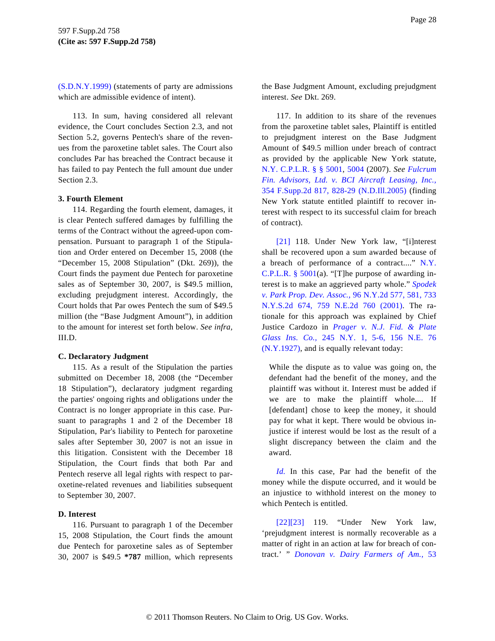[\(S.D.N.Y.1999\)](http://www.westlaw.com/Find/Default.wl?rs=dfa1.0&vr=2.0&DB=4637&FindType=Y&ReferencePositionType=S&SerialNum=1999155166&ReferencePosition=630) (statements of party are admissions which are admissible evidence of intent).

113. In sum, having considered all relevant evidence, the Court concludes Section 2.3, and not Section 5.2, governs Pentech's share of the revenues from the paroxetine tablet sales. The Court also concludes Par has breached the Contract because it has failed to pay Pentech the full amount due under Section 2.3.

## **3. Fourth Element**

<span id="page-27-0"></span>114. Regarding the fourth element, damages, it is clear Pentech suffered damages by fulfilling the terms of the Contract without the agreed-upon compensation. Pursuant to paragraph 1 of the Stipulation and Order entered on December 15, 2008 (the "December 15, 2008 Stipulation" (Dkt. 269)), the Court finds the payment due Pentech for paroxetine sales as of September 30, 2007, is \$49.5 million, excluding prejudgment interest. Accordingly, the Court holds that Par owes Pentech the sum of \$49.5 million (the "Base Judgment Amount"), in addition to the amount for interest set forth below. *See infra,* III.D.

#### **C. Declaratory Judgment**

115. As a result of the Stipulation the parties submitted on December 18, 2008 (the "December 18 Stipulation"), declaratory judgment regarding the parties' ongoing rights and obligations under the Contract is no longer appropriate in this case. Pursuant to paragraphs 1 and 2 of the December 18 Stipulation, Par's liability to Pentech for paroxetine sales after September 30, 2007 is not an issue in this litigation. Consistent with the December 18 Stipulation, the Court finds that both Par and Pentech reserve all legal rights with respect to paroxetine-related revenues and liabilities subsequent to September 30, 2007.

# <span id="page-27-1"></span>**D. Interest**

116. Pursuant to paragraph 1 of the December 15, 2008 Stipulation, the Court finds the amount due Pentech for paroxetine sales as of September 30, 2007 is \$49.5 **\*787** million, which represents

the Base Judgment Amount, excluding prejudgment interest. *See* Dkt. 269.

117. In addition to its share of the revenues from the paroxetine tablet sales, Plaintiff is entitled to prejudgment interest on the Base Judgment Amount of \$49.5 million under breach of contract as provided by the applicable New York statute, [N.Y. C.P.L.R. § § 5001](http://www.westlaw.com/Find/Default.wl?rs=dfa1.0&vr=2.0&DB=1000059&DocName=NYCPS5001&FindType=L), [5004](http://www.westlaw.com/Find/Default.wl?rs=dfa1.0&vr=2.0&DB=1000059&DocName=NYCPS5004&FindType=L) (2007). *See [Fulcrum](http://www.westlaw.com/Find/Default.wl?rs=dfa1.0&vr=2.0&DB=4637&FindType=Y&ReferencePositionType=S&SerialNum=2006159989&ReferencePosition=828) [Fin. Advisors, Ltd. v. BCI Aircraft Leasing, Inc.](http://www.westlaw.com/Find/Default.wl?rs=dfa1.0&vr=2.0&DB=4637&FindType=Y&ReferencePositionType=S&SerialNum=2006159989&ReferencePosition=828),* [354 F.Supp.2d 817, 828-29 \(N.D.Ill.2005](http://www.westlaw.com/Find/Default.wl?rs=dfa1.0&vr=2.0&DB=4637&FindType=Y&ReferencePositionType=S&SerialNum=2006159989&ReferencePosition=828)) (finding New York statute entitled plaintiff to recover interest with respect to its successful claim for breach of contract).

[\[21\]](#page-3-4) 118. Under New York law, "[i]nterest shall be recovered upon a sum awarded because of a breach of performance of a contract...." [N.Y.](http://www.westlaw.com/Find/Default.wl?rs=dfa1.0&vr=2.0&DB=1000059&DocName=NYCPS5001&FindType=L) [C.P.L.R. § 5001](http://www.westlaw.com/Find/Default.wl?rs=dfa1.0&vr=2.0&DB=1000059&DocName=NYCPS5001&FindType=L)(a). "[T]he purpose of awarding interest is to make an aggrieved party whole." *[Spodek](http://www.westlaw.com/Find/Default.wl?rs=dfa1.0&vr=2.0&DB=578&FindType=Y&SerialNum=2001965081) [v. Park Prop. Dev. Assoc.](http://www.westlaw.com/Find/Default.wl?rs=dfa1.0&vr=2.0&DB=578&FindType=Y&SerialNum=2001965081),* [96 N.Y.2d 577, 581, 733](http://www.westlaw.com/Find/Default.wl?rs=dfa1.0&vr=2.0&DB=578&FindType=Y&SerialNum=2001965081) [N.Y.S.2d 674, 759 N.E.2d 760 \(2](http://www.westlaw.com/Find/Default.wl?rs=dfa1.0&vr=2.0&DB=578&FindType=Y&SerialNum=2001965081)001). The rationale for this approach was explained by Chief Justice Cardozo in *[Prager v. N.J. Fid. & Pl](http://www.westlaw.com/Find/Default.wl?rs=dfa1.0&vr=2.0&DB=577&FindType=Y&SerialNum=1927102699)ate [Glass Ins. Co](http://www.westlaw.com/Find/Default.wl?rs=dfa1.0&vr=2.0&DB=577&FindType=Y&SerialNum=1927102699).,* [245 N.Y. 1, 5-6, 156 N.E](http://www.westlaw.com/Find/Default.wl?rs=dfa1.0&vr=2.0&DB=577&FindType=Y&SerialNum=1927102699). 76 [\(N.Y.1927\),](http://www.westlaw.com/Find/Default.wl?rs=dfa1.0&vr=2.0&DB=577&FindType=Y&SerialNum=1927102699) and is equally relevant today:

While the dispute as to value was going on, the defendant had the benefit of the money, and the plaintiff was without it. Interest must be added if we are to make the plaintiff whole.... If [defendant] chose to keep the money, it should pay for what it kept. There would be obvious injustice if interest would be lost as the result of a slight discrepancy between the claim and the award.

*[Id.](http://www.westlaw.com/Find/Default.wl?rs=dfa1.0&vr=2.0&FindType=Y&SerialNum=1927102699)* In this case, Par had the benefit of the money while the dispute occurred, and it would be an injustice to withhold interest on the money to which Pentech is entitled.

[\[22](#page-4-0)[\]\[23\]](#page-4-1) 119. "Under New York law, 'prejudgment interest is normally recoverable as a matter of right in an action at law for breach of contract.' " *[Donovan v. Dairy Farmers of A](http://www.westlaw.com/Find/Default.wl?rs=dfa1.0&vr=2.0&DB=4637&FindType=Y&ReferencePositionType=S&SerialNum=1999145345&ReferencePosition=197)m.,* 53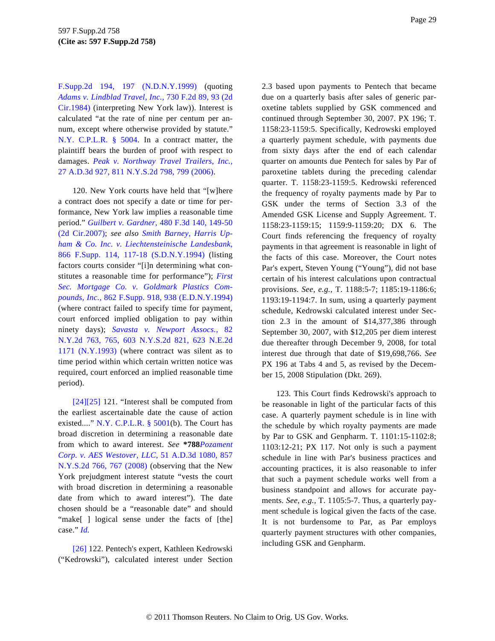[F.Supp.2d 194, 197 \(N.D.N.Y.1](http://www.westlaw.com/Find/Default.wl?rs=dfa1.0&vr=2.0&DB=4637&FindType=Y&ReferencePositionType=S&SerialNum=1999145345&ReferencePosition=197)999) (quoting *[Adams v. Lindblad Travel, Inc.](http://www.westlaw.com/Find/Default.wl?rs=dfa1.0&vr=2.0&DB=350&FindType=Y&ReferencePositionType=S&SerialNum=1984114364&ReferencePosition=93),* [730 F.2d 89, 93 \(2d](http://www.westlaw.com/Find/Default.wl?rs=dfa1.0&vr=2.0&DB=350&FindType=Y&ReferencePositionType=S&SerialNum=1984114364&ReferencePosition=93) [Cir.1984\)](http://www.westlaw.com/Find/Default.wl?rs=dfa1.0&vr=2.0&DB=350&FindType=Y&ReferencePositionType=S&SerialNum=1984114364&ReferencePosition=93) (interpreting New York law)). Interest is calculated "at the rate of nine per centum per annum, except where otherwise provided by statute." [N.Y. C.P.L.R. § 50](http://www.westlaw.com/Find/Default.wl?rs=dfa1.0&vr=2.0&DB=1000059&DocName=NYCPS5004&FindType=L)04. In a contract matter, the plaintiff bears the burden of proof with respect to damages. *[Peak v. Northway Travel Trailers, Inc.](http://www.westlaw.com/Find/Default.wl?rs=dfa1.0&vr=2.0&DB=602&FindType=Y&ReferencePositionType=S&SerialNum=2008690801&ReferencePosition=799),* [27 A.D.3d 927, 811 N.Y.S.2d 798, 799 \(2006\)](http://www.westlaw.com/Find/Default.wl?rs=dfa1.0&vr=2.0&DB=602&FindType=Y&ReferencePositionType=S&SerialNum=2008690801&ReferencePosition=799).

120. New York courts have held that "[w]here a contract does not specify a date or time for performance, New York law implies a reasonable time period." *[Guilbert v. Gardner](http://www.westlaw.com/Find/Default.wl?rs=dfa1.0&vr=2.0&DB=506&FindType=Y&ReferencePositionType=S&SerialNum=2011618226&ReferencePosition=149),* [480 F.3d 140, 149-50](http://www.westlaw.com/Find/Default.wl?rs=dfa1.0&vr=2.0&DB=506&FindType=Y&ReferencePositionType=S&SerialNum=2011618226&ReferencePosition=149) [\(2d Cir.2007](http://www.westlaw.com/Find/Default.wl?rs=dfa1.0&vr=2.0&DB=506&FindType=Y&ReferencePositionType=S&SerialNum=2011618226&ReferencePosition=149)); *see also [Smith Barney, Harris Up](http://www.westlaw.com/Find/Default.wl?rs=dfa1.0&vr=2.0&DB=345&FindType=Y&ReferencePositionType=S&SerialNum=1994216272&ReferencePosition=117)[ham & Co. Inc. v. Liechtensteinische Landesbank](http://www.westlaw.com/Find/Default.wl?rs=dfa1.0&vr=2.0&DB=345&FindType=Y&ReferencePositionType=S&SerialNum=1994216272&ReferencePosition=117),* [866 F.Supp. 114, 117-18 \(S.D.N.Y.199](http://www.westlaw.com/Find/Default.wl?rs=dfa1.0&vr=2.0&DB=345&FindType=Y&ReferencePositionType=S&SerialNum=1994216272&ReferencePosition=117)4) (listing factors courts consider "[i]n determining what constitutes a reasonable time for performance"); *[First](http://www.westlaw.com/Find/Default.wl?rs=dfa1.0&vr=2.0&DB=345&FindType=Y&ReferencePositionType=S&SerialNum=1994202703&ReferencePosition=938) [Sec. Mortgage Co. v. Goldmark Plastics](http://www.westlaw.com/Find/Default.wl?rs=dfa1.0&vr=2.0&DB=345&FindType=Y&ReferencePositionType=S&SerialNum=1994202703&ReferencePosition=938) Com[pounds, Inc.](http://www.westlaw.com/Find/Default.wl?rs=dfa1.0&vr=2.0&DB=345&FindType=Y&ReferencePositionType=S&SerialNum=1994202703&ReferencePosition=938),* [862 F.Supp. 918, 938 \(E.D.N.Y.1994](http://www.westlaw.com/Find/Default.wl?rs=dfa1.0&vr=2.0&DB=345&FindType=Y&ReferencePositionType=S&SerialNum=1994202703&ReferencePosition=938)) (where contract failed to specify time for payment, court enforced implied obligation to pay within ninety days); *[Savasta v. Newport Assocs.,](http://www.westlaw.com/Find/Default.wl?rs=dfa1.0&vr=2.0&DB=578&FindType=Y&SerialNum=1993193291)* 82 [N.Y.2d 763, 765, 603 N.Y.S.2d 821, 623 N.E](http://www.westlaw.com/Find/Default.wl?rs=dfa1.0&vr=2.0&DB=578&FindType=Y&SerialNum=1993193291).2d [1171 \(N.Y.1993](http://www.westlaw.com/Find/Default.wl?rs=dfa1.0&vr=2.0&DB=578&FindType=Y&SerialNum=1993193291)) (where contract was silent as to time period within which certain written notice was required, court enforced an implied reasonable time period).

<span id="page-28-1"></span>[\[24](#page-4-2)[\]\[25\]](#page-4-3) 121. "Interest shall be computed from the earliest ascertainable date the cause of action existed...." [N.Y. C.P.L.R. § 5001](http://www.westlaw.com/Find/Default.wl?rs=dfa1.0&vr=2.0&DB=1000059&DocName=NYCPS5001&FindType=L)(b). The Court has broad discretion in determining a reasonable date from which to award interest. *See* **\*788***[Pozament](http://www.westlaw.com/Find/Default.wl?rs=dfa1.0&vr=2.0&DB=602&FindType=Y&ReferencePositionType=S&SerialNum=2015922760&ReferencePosition=767) [Corp. v. AES Westover, LLC](http://www.westlaw.com/Find/Default.wl?rs=dfa1.0&vr=2.0&DB=602&FindType=Y&ReferencePositionType=S&SerialNum=2015922760&ReferencePosition=767),* [51 A.D.3d 1080, 857](http://www.westlaw.com/Find/Default.wl?rs=dfa1.0&vr=2.0&DB=602&FindType=Y&ReferencePositionType=S&SerialNum=2015922760&ReferencePosition=767) [N.Y.S.2d 766, 767 \(2008](http://www.westlaw.com/Find/Default.wl?rs=dfa1.0&vr=2.0&DB=602&FindType=Y&ReferencePositionType=S&SerialNum=2015922760&ReferencePosition=767)) (observing that the New York prejudgment interest statute "vests the court with broad discretion in determining a reasonable date from which to award interest"). The date chosen should be a "reasonable date" and should "make[ ] logical sense under the facts of [the] case." *[Id](http://www.westlaw.com/Find/Default.wl?rs=dfa1.0&vr=2.0&FindType=Y&SerialNum=2015922760).*

<span id="page-28-0"></span>[\[26\]](#page-4-4) 122. Pentech's expert, Kathleen Kedrowski ("Kedrowski"), calculated interest under Section 2.3 based upon payments to Pentech that became due on a quarterly basis after sales of generic paroxetine tablets supplied by GSK commenced and continued through September 30, 2007. PX 196; T. 1158:23-1159:5. Specifically, Kedrowski employed a quarterly payment schedule, with payments due from sixty days after the end of each calendar quarter on amounts due Pentech for sales by Par of paroxetine tablets during the preceding calendar quarter. T. 1158:23-1159:5. Kedrowski referenced the frequency of royalty payments made by Par to GSK under the terms of Section 3.3 of the Amended GSK License and Supply Agreement. T. 1158:23-1159:15; 1159:9-1159:20; DX 6. The Court finds referencing the frequency of royalty payments in that agreement is reasonable in light of the facts of this case. Moreover, the Court notes Par's expert, Steven Young ("Young"), did not base certain of his interest calculations upon contractual provisions. *See, e.g.,* T. 1188:5-7; 1185:19-1186:6; 1193:19-1194:7. In sum, using a quarterly payment schedule, Kedrowski calculated interest under Section 2.3 in the amount of \$14,377,386 through September 30, 2007, with \$12,205 per diem interest due thereafter through December 9, 2008, for total interest due through that date of \$19,698,766. *See* PX 196 at Tabs 4 and 5, as revised by the December 15, 2008 Stipulation (Dkt. 269).

123. This Court finds Kedrowski's approach to be reasonable in light of the particular facts of this case. A quarterly payment schedule is in line with the schedule by which royalty payments are made by Par to GSK and Genpharm. T. 1101:15-1102:8; 1103:12-21; PX 117. Not only is such a payment schedule in line with Par's business practices and accounting practices, it is also reasonable to infer that such a payment schedule works well from a business standpoint and allows for accurate payments. *See, e.g.,* T. 1105:5-7. Thus, a quarterly payment schedule is logical given the facts of the case. It is not burdensome to Par, as Par employs quarterly payment structures with other companies, including GSK and Genpharm.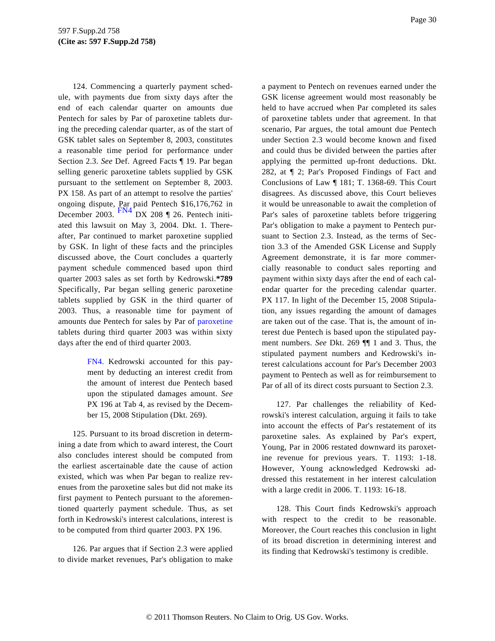<span id="page-29-1"></span>124. Commencing a quarterly payment schedule, with payments due from sixty days after the end of each calendar quarter on amounts due Pentech for sales by Par of paroxetine tablets during the preceding calendar quarter, as of the start of GSK tablet sales on September 8, 2003, constitutes a reasonable time period for performance under Section 2.3. *See* Def. Agreed Facts ¶ 19. Par began selling generic paroxetine tablets supplied by GSK pursuant to the settlement on September 8, 2003. PX 158. As part of an attempt to resolve the parties' ongoing dispute, Par paid Pentech \$16,176,762 in December 2003. [FN4](#page-29-0) DX 208 | 26. Pentech initiated this lawsuit on May 3, 2004. Dkt. 1. Thereafter, Par continued to market paroxetine supplied by GSK. In light of these facts and the principles discussed above, the Court concludes a quarterly payment schedule commenced based upon third quarter 2003 sales as set forth by Kedrowski.**\*789** Specifically, Par began selling generic paroxetine tablets supplied by GSK in the third quarter of 2003. Thus, a reasonable time for payment of amounts due Pentech for sales by Par of [paroxetine](http://www.westlaw.com/Find/Default.wl?rs=dfa1.0&vr=2.0&CMD=ML&DocName=I3c1f514e475111db9765f9243f53508a&FindType=GD) tablets during third quarter 2003 was within sixty days after the end of third quarter 2003.

> <span id="page-29-0"></span>[FN4.](#page-29-1) Kedrowski accounted for this payment by deducting an interest credit from the amount of interest due Pentech based upon the stipulated damages amount. *See* PX 196 at Tab 4, as revised by the December 15, 2008 Stipulation (Dkt. 269).

125. Pursuant to its broad discretion in determining a date from which to award interest, the Court also concludes interest should be computed from the earliest ascertainable date the cause of action existed, which was when Par began to realize revenues from the paroxetine sales but did not make its first payment to Pentech pursuant to the aforementioned quarterly payment schedule. Thus, as set forth in Kedrowski's interest calculations, interest is to be computed from third quarter 2003. PX 196.

126. Par argues that if Section 2.3 were applied to divide market revenues, Par's obligation to make

a payment to Pentech on revenues earned under the GSK license agreement would most reasonably be held to have accrued when Par completed its sales of paroxetine tablets under that agreement. In that scenario, Par argues, the total amount due Pentech under Section 2.3 would become known and fixed and could thus be divided between the parties after applying the permitted up-front deductions. Dkt. 282, at ¶ 2; Par's Proposed Findings of Fact and Conclusions of Law ¶ 181; T. 1368-69. This Court disagrees. As discussed above, this Court believes it would be unreasonable to await the completion of Par's sales of paroxetine tablets before triggering Par's obligation to make a payment to Pentech pursuant to Section 2.3. Instead, as the terms of Section 3.3 of the Amended GSK License and Supply Agreement demonstrate, it is far more commercially reasonable to conduct sales reporting and payment within sixty days after the end of each calendar quarter for the preceding calendar quarter. PX 117. In light of the December 15, 2008 Stipulation, any issues regarding the amount of damages are taken out of the case. That is, the amount of interest due Pentech is based upon the stipulated payment numbers. *See* Dkt. 269 ¶¶ 1 and 3. Thus, the stipulated payment numbers and Kedrowski's interest calculations account for Par's December 2003 payment to Pentech as well as for reimbursement to Par of all of its direct costs pursuant to Section 2.3.

127. Par challenges the reliability of Kedrowski's interest calculation, arguing it fails to take into account the effects of Par's restatement of its paroxetine sales. As explained by Par's expert, Young, Par in 2006 restated downward its paroxetine revenue for previous years. T. 1193: 1-18. However, Young acknowledged Kedrowski addressed this restatement in her interest calculation with a large credit in 2006. T. 1193: 16-18.

128. This Court finds Kedrowski's approach with respect to the credit to be reasonable. Moreover, the Court reaches this conclusion in light of its broad discretion in determining interest and its finding that Kedrowski's testimony is credible.